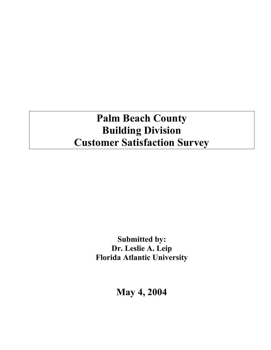# **Palm Beach County Building Division Customer Satisfaction Survey**

**Submitted by: Dr. Leslie A. Leip Florida Atlantic University** 

**May 4, 2004**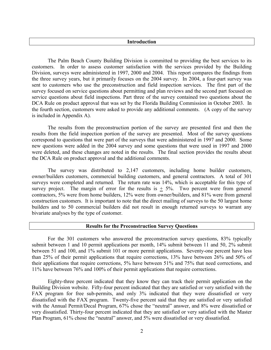#### **Introduction**

The Palm Beach County Building Division is committed to providing the best services to its customers. In order to assess customer satisfaction with the services provided by the Building Division, surveys were administered in 1997, 2000 and 2004. This report compares the findings from the three survey years, but it primarily focuses on the 2004 survey. In 2004, a four-part survey was sent to customers who use the preconstruction and field inspection services. The first part of the survey focused on service questions about permitting and plan reviews and the second part focused on service questions about field inspections. Part three of the survey contained two questions about the DCA Rule on product approval that was set by the Florida Building Commission in October 2003. In the fourth section, customers were asked to provide any additional comments. (A copy of the survey is included in Appendix A).

The results from the preconstruction portion of the survey are presented first and then the results from the field inspection portion of the survey are presented. Most of the survey questions correspond to questions that were part of the surveys that were administered in 1997 and 2000. Some new questions were added in the 2004 survey and some questions that were used in 1997 and 2000 were deleted, and these changes are noted in the results. The final section provides the results about the DCA Rule on product approval and the additional comments.

The survey was distributed to 2,147 customers, including home builder customers, owner/builders customers, commercial building customers, and general contractors. A total of 301 surveys were completed and returned. The return rate was 14%, which is acceptable for this type of survey project. The margin of error for the results is  $+5\%$ . Two percent were from general contractors, 5% were from home builders, 12% were from owner/builders, and 81% were from general construction customers. It is important to note that the direct mailing of surveys to the 50 largest home builders and to 50 commercial builders did not result in enough returned surveys to warrant any bivariate analyses by the type of customer.

#### **Results for the Preconstruction Survey Questions**

For the 301 customers who answered the preconstruction survey questions, 83% typically submit between 1 and 10 permit applications per month, 14% submit between 11 and 50, 2% submit between 51 and 100, and 1% submit 101 or more permit applications. Seventy-one percent have less than 25% of their permit applications that require corrections, 13% have between 26% and 50% of their applications that require corrections, 5% have between 51% and 75% that need corrections, and 11% have between 76% and 100% of their permit applications that require corrections.

Eighty-three percent indicated that they know they can track their permit application on the Building Division website. Fifty-four percent indicated that they are satisfied or very satisfied with the FAX program for free sub-permits, and only 3% indicated that they were dissatisfied or very dissatisfied with the FAX program. Twenty-five percent said that they are satisfied or very satisfied with the Annual Permit/Decal Program, 67% chose the "neutral" answer, and 8% were dissatisfied or very dissatisfied. Thirty-four percent indicated that they are satisfied or very satisfied with the Master Plan Program, 61% chose the "neutral" answer, and 5% were dissatisfied or very dissatisfied.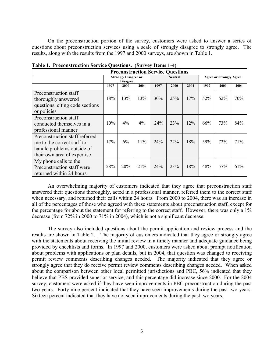On the preconstruction portion of the survey, customers were asked to answer a series of questions about preconstruction services using a scale of strongly disagree to strongly agree. The results, along with the results from the 1997 and 2000 surveys, are shown in Table 1.

| <b>Preconstruction Service Questions</b>                                                                                  |      |                                                |       |                |        |      |                                |      |      |
|---------------------------------------------------------------------------------------------------------------------------|------|------------------------------------------------|-------|----------------|--------|------|--------------------------------|------|------|
|                                                                                                                           |      | <b>Strongly Disagree or</b><br><b>Disagree</b> |       | <b>Neutral</b> |        |      | <b>Agree or Strongly Agree</b> |      |      |
|                                                                                                                           | 1997 | 2000                                           | 2004  | 1997           | 2000   | 2004 | 1997                           | 2000 | 2004 |
| Preconstruction staff<br>thoroughly answered<br>questions, citing code sections<br>or policies                            | 18%  | 13%                                            | 13%   | 30%            | 25%    | 17%  | 52%                            | 62%  | 70%  |
| Preconstruction staff<br>conducted themselves in a<br>professional manner                                                 | 10%  | $4\%$                                          | $4\%$ | 24%            | 23%    | 12%  | 66%                            | 73%  | 84%  |
| Preconstruction staff referred<br>me to the correct staff to<br>handle problems outside of<br>their own area of expertise | 17%  | 6%                                             | 11%   | 24%            | $22\%$ | 18%  | 59%                            | 72%  | 71%  |
| My phone calls to the<br>Preconstruction staff were<br>returned within 24 hours                                           | 28%  | 20%                                            | 21%   | 24%            | 23%    | 18%  | 48%                            | 57%  | 61%  |

**Table 1. Preconstruction Service Questions. (Survey Items 1-4)** 

An overwhelming majority of customers indicated that they agree that preconstruction staff answered their questions thoroughly, acted in a professional manner, referred them to the correct staff when necessary, and returned their calls within 24 hours. From 2000 to 2004, there was an increase in all of the percentages of those who agreed with these statements about preconstruction staff, except for the percentage for about the statement for referring to the correct staff. However, there was only a 1% decrease (from 72% in 2000 to 71% in 2004), which is not a significant decrease.

The survey also included questions about the permit application and review process and the results are shown in Table 2. The majority of customers indicated that they agree or strongly agree with the statements about receiving the initial review in a timely manner and adequate guidance being provided by checklists and forms. In 1997 and 2000, customers were asked about prompt notification about problems with applications or plan details, but in 2004, that question was changed to receiving permit review comments describing changes needed. The majority indicated that they agree or strongly agree that they do receive permit review comments describing changes needed. When asked about the comparison between other local permitted jurisdictions and PBC, 56% indicated that they believe that PBS provided superior service, and this percentage did increase since 2000. For the 2004 survey, customers were asked if they have seen improvements in PBC preconstruction during the past two years. Forty-nine percent indicated that they have seen improvements during the past two years. Sixteen percent indicated that they have not seen improvements during the past two years.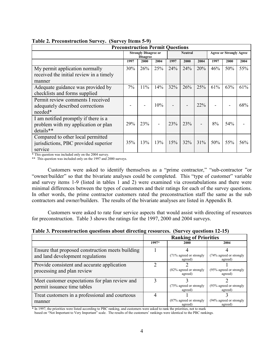|                                         | <b>Preconstruction Permit Questions</b> |                                                |                          |                |      |      |                                |      |      |
|-----------------------------------------|-----------------------------------------|------------------------------------------------|--------------------------|----------------|------|------|--------------------------------|------|------|
|                                         |                                         | <b>Strongly Disagree or</b><br><b>Disagree</b> |                          | <b>Neutral</b> |      |      | <b>Agree or Strongly Agree</b> |      |      |
|                                         | 1997                                    | 2000                                           | 2004                     | 1997           | 2000 | 2004 | 1997                           | 2000 | 2004 |
| My permit application normally          | 30%                                     | 26%                                            | 25%                      | 24%            | 24%  | 20%  | 46%                            | 50%  | 55%  |
| received the initial review in a timely |                                         |                                                |                          |                |      |      |                                |      |      |
| manner                                  |                                         |                                                |                          |                |      |      |                                |      |      |
| Adequate guidance was provided by       | 7%                                      | 11%                                            | 14%                      | 32%            | 26%  | 25%  | 61%                            | 63%  | 61%  |
| checklists and forms supplied           |                                         |                                                |                          |                |      |      |                                |      |      |
| Permit review comments I received       |                                         |                                                |                          |                |      |      |                                |      |      |
| adequately described corrections        |                                         |                                                | 10%                      |                |      | 22%  |                                |      | 68%  |
| needed*                                 |                                         |                                                |                          |                |      |      |                                |      |      |
| I am notified promptly if there is a    |                                         |                                                |                          |                |      |      |                                |      |      |
| problem with my application or plan     | 29%                                     | 23%                                            | $\overline{\phantom{0}}$ | 23%            | 23%  |      | 8%                             | 54%  |      |
| details**                               |                                         |                                                |                          |                |      |      |                                |      |      |
| Compared to other local permitted       |                                         |                                                |                          |                |      |      |                                |      |      |
| jurisdictions, PBC provided superior    | 35%                                     | 13%                                            | 13%                      | 15%            | 32%  | 31%  | 50%                            | 55%  | 56%  |
| service                                 |                                         |                                                |                          |                |      |      |                                |      |      |

#### **Table 2. Preconstruction Survey. (Survey Items 5-9)**

\* This question was included only on the 2004 survey.

\*\* This question was included only on the 1997 and 2000 surveys.

Customers were asked to identify themselves as a "prime contractor," "sub-contractor "or "owner/builder" so that the bivariate analyses could be completed. This "type of customer" variable and survey items 1-9 (listed in tables 1 and 2) were examined via crosstabulations and there were minimal differences between the types of customers and their ratings for each of the survey questions. In other words, the prime contractor customers rated the preconstruction staff the same as the sub contractors and owner/builders. The results of the bivariate analyses are listed in Appendix B.

Customers were asked to rate four service aspects that would assist with directing of resources for preconstruction. Table 3 shows the ratings for the 1997, 2000 and 2004 surveys.

| Table 3. Preconstruction questions about directing resources. (Survey questions 12-15) |  |
|----------------------------------------------------------------------------------------|--|
|----------------------------------------------------------------------------------------|--|

|                                                  |       | <b>Ranking of Priorities</b>          |                                    |
|--------------------------------------------------|-------|---------------------------------------|------------------------------------|
|                                                  | 1997* | 2000                                  | 2004                               |
| Ensure that proposed construction meets building |       |                                       |                                    |
| and land development regulations                 |       | $(71\%$ agreed or strongly<br>agreed) | (74% agreed or strongly<br>agreed) |
| Provide consistent and accurate application      |       |                                       |                                    |
| processing and plan review                       |       | $(82\%$ agreed or strongly<br>agreed) | (95% agreed or strongly<br>agreed) |
| Meet customer expectations for plan review and   |       |                                       |                                    |
| permit issuance time tables                      |       | (75% agreed or strongly<br>agreed)    | (93% agreed or strongly<br>agreed) |
| Treat customers in a professional and courteous  |       |                                       |                                    |
| manner                                           |       | $(87\%$ agreed or strongly<br>agreed) | (94% agreed or strongly<br>agreed) |

\* In 1997, the priorities were listed according to PBC ranking, and customers were asked to rank the priorities, not to mark

based on "Not Important to Very Important" scale. The results of the customers' rankings were identical to the PBC rankings.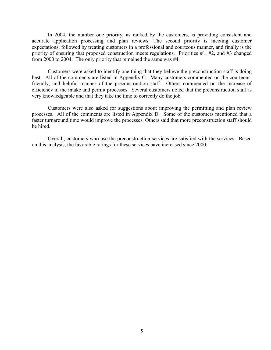In 2004, the number one priority, as ranked by the customers, is providing consistent and accurate application processing and plan reviews. The second priority is meeting customer expectations, followed by treating customers in a professional and courteous manner, and finally is the priority of ensuring that proposed construction meets regulations. Priorities #1, #2, and #3 changed from 2000 to 2004. The only priority that remained the same was #4.

Customers were asked to identify one thing that they believe the preconstruction staff is doing best. All of the comments are listed in Appendix C. Many customers commented on the courteous, friendly, and helpful manner of the preconstruction staff. Others commented on the increase of efficiency in the intake and permit processes. Several customers noted that the preconstruction staff is very knowledgeable and that they take the time to correctly do the job.

Customers were also asked for suggestions about improving the permitting and plan review processes. All of the comments are listed in Appendix D. Some of the customers mentioned that a faster turnaround time would improve the processes. Others said that more preconstruction staff should be hired.

Overall, customers who use the preconstruction services are satisfied with the services. Based on this analysis, the favorable ratings for these services have increased since 2000.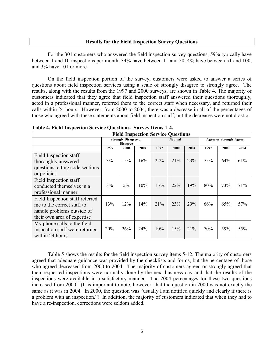#### **Results for the Field Inspection Survey Questions**

For the 301 customers who answered the field inspection survey questions, 59% typically have between 1 and 10 inspections per month, 34% have between 11 and 50, 4% have between 51 and 100, and 3% have 101 or more.

On the field inspection portion of the survey, customers were asked to answer a series of questions about field inspection services using a scale of strongly disagree to strongly agree. The results, along with the results from the 1997 and 2000 surveys, are shown in Table 4. The majority of customers indicated that they agree that field inspection staff answered their questions thoroughly, acted in a professional manner, referred them to the correct staff when necessary, and returned their calls within 24 hours. However, from 2000 to 2004, there was a decrease in all of the percentages of those who agreed with these statements about field inspection staff, but the decreases were not drastic.

|                                                                                                                            | <b>Field Inspection Service Questions</b> |                                                |      |      |                |      |      |                                |      |  |
|----------------------------------------------------------------------------------------------------------------------------|-------------------------------------------|------------------------------------------------|------|------|----------------|------|------|--------------------------------|------|--|
|                                                                                                                            |                                           | <b>Strongly Disagree or</b><br><b>Disagree</b> |      |      | <b>Neutral</b> |      |      | <b>Agree or Strongly Agree</b> |      |  |
|                                                                                                                            | 1997                                      | 2000                                           | 2004 | 1997 | 2000           | 2004 | 1997 | 2000                           | 2004 |  |
| Field Inspection staff<br>thoroughly answered<br>questions, citing code sections<br>or policies                            | 3%                                        | 15%                                            | 16%  | 22%  | 21%            | 23%  | 75%  | 64%                            | 61%  |  |
| Field Inspection staff<br>conducted themselves in a<br>professional manner                                                 | 3%                                        | $5\%$                                          | 10%  | 17%  | 22%            | 19%  | 80%  | 73%                            | 71%  |  |
| Field Inspection staff referred<br>me to the correct staff to<br>handle problems outside of<br>their own area of expertise | 13%                                       | 12%                                            | 14%  | 21%  | 23%            | 29%  | 66%  | 65%                            | 57%  |  |
| My phone calls to the field<br>inspection staff were returned<br>within 24 hours                                           | <b>20%</b>                                | 26%                                            | 24%  | 10%  | 15%            | 21%  | 70%  | 59%                            | 55%  |  |

**Table 4. Field Inspection Service Questions. Survey Items 1-4.** 

Table 5 shows the results for the field inspection survey items 5-12. The majority of customers agreed that adequate guidance was provided by the checklists and forms, but the percentage of those who agreed decreased from 2000 to 2004. The majority of customers agreed or strongly agreed that their requested inspections were normally done by the next business day and that the results of the inspections were available in a satisfactory manner. The 2004 percentages for these two questions increased from 2000. (It is important to note, however, that the question in 2000 was not exactly the same as it was in 2004. In 2000, the question was "usually I am notified quickly and clearly if there is a problem with an inspection.") In addition, the majority of customers indicated that when they had to have a re-inspection, corrections were seldom added.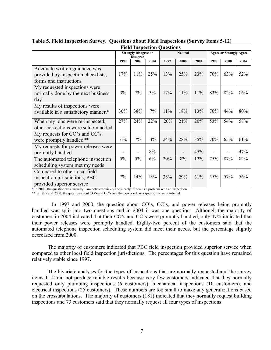|                                                                                               |      |                                                |      | <b>Field Inspection Questions</b> |      |      |      |                                |      |
|-----------------------------------------------------------------------------------------------|------|------------------------------------------------|------|-----------------------------------|------|------|------|--------------------------------|------|
|                                                                                               |      | <b>Strongly Disagree or</b><br><b>Disagree</b> |      | <b>Neutral</b>                    |      |      |      | <b>Agree or Strongly Agree</b> |      |
|                                                                                               | 1997 | 2000                                           | 2004 | 1997                              | 2000 | 2004 | 1997 | 2000                           | 2004 |
| Adequate written guidance was<br>provided by Inspection checklists,<br>forms and instructions | 17%  | 11%                                            | 25%  | 13%                               | 25%  | 23%  | 70%  | 63%                            | 52%  |
| My requested inspections were<br>normally done by the next business<br>day                    | 3%   | 7%                                             | 3%   | 17%                               | 11%  | 11%  | 83%  | 82%                            | 86%  |
| My results of inspections were<br>available in a satisfactory manner.*                        | 30%  | 38%                                            | 7%   | 11%                               | 18%  | 13%  | 70%  | 44%                            | 80%  |
| When my jobs were re-inspected,<br>other corrections were seldom added                        | 27%  | 24%                                            | 22%  | 20%                               | 21%  | 20%  | 53%  | 54%                            | 58%  |
| My requests for CO's and CC's<br>were promptly handled**                                      | 6%   | 7%                                             | 4%   | 24%                               | 28%  | 35%  | 70%  | 65%                            | 61%  |
| My requests for power releases were<br>promptly handled                                       |      | $\qquad \qquad \blacksquare$                   | 8%   |                                   |      | 45%  |      |                                | 47%  |
| The automated telephone inspection<br>scheduling system met my needs                          | 5%   | 5%                                             | 6%   | 20%                               | 8%   | 12%  | 75%  | 87%                            | 82%  |
| Compared to other local field<br>inspection jurisdictions, PBC<br>provided superior service   | 7%   | 14%                                            | 13%  | 38%                               | 29%  | 31%  | 55%  | 57%                            | 56%  |

**Table 5. Field Inspection Survey. Questions about Field Inspections (Survey Items 5-12)** 

**\*** In 2000, the question was "usually I am notified quickly and clearly if there is a problem with an inspection

\*\* In 1997 and 2000, the question about CO's and CC's and the power releases question were combined

In 1997 and 2000, the question about CO's, CC's, and power releases being promptly handled was split into two questions and in 2004 it was one question. Although the majority of customers in 2004 indicated that their CO's and CC's were promptly handled, only 47% indicated that their power releases were promptly handled. Eighty-two percent of the customers said that the automated telephone inspection scheduling system did meet their needs, but the percentage slightly decreased from 2000.

The majority of customers indicated that PBC field inspection provided superior service when compared to other local field inspection jurisdictions. The percentages for this question have remained relatively stable since 1997.

The bivariate analyses for the types of inspections that are normally requested and the survey items 1-12 did not produce reliable results because very few customers indicated that they normally requested only plumbing inspections (6 customers), mechanical inspections (10 customers), and electrical inspections (25 customers). These numbers are too small to make any generalizations based on the crosstabulations. The majority of customers (181) indicated that they normally request building inspections and 73 customers said that they normally request all four types of inspections.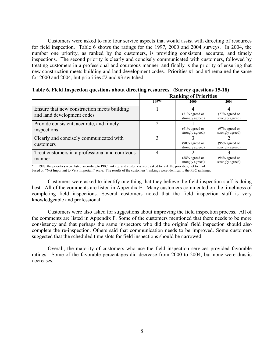Customers were asked to rate four service aspects that would assist with directing of resources for field inspection. Table 6 shows the ratings for the 1997, 2000 and 2004 surveys. In 2004, the number one priority, as ranked by the customers, is providing consistent, accurate, and timely inspections. The second priority is clearly and concisely communicated with customers, followed by treating customers in a professional and courteous manner, and finally is the priority of ensuring that new construction meets building and land development codes. Priorities #1 and #4 remained the same for 2000 and 2004, but priorities #2 and #3 switched.

|                                                 |       | <b>Ranking of Priorities</b>          |                                       |
|-------------------------------------------------|-------|---------------------------------------|---------------------------------------|
|                                                 | 1997* | 2000                                  | 2004                                  |
| Ensure that new construction meets building     |       |                                       |                                       |
| and land development codes                      |       | $(71\%$ agreed or<br>strongly agreed) | $(77\%$ agreed or<br>strongly agreed) |
| Provide consistent, accurate, and timely        |       |                                       |                                       |
| inspections                                     |       | $(91\%$ agreed or<br>strongly agreed) | $(97\%$ agreed or<br>strongly agreed) |
| Clearly and concisely communicated with         |       |                                       |                                       |
| customers                                       |       | $(90\%$ agreed or<br>strongly agreed) | $(95%$ agreed or<br>strongly agreed)  |
| Treat customers in a professional and courteous |       |                                       |                                       |
| manner                                          |       | $(88%$ agreed or<br>strongly agreed)  | $(94\%$ agreed or<br>strongly agreed) |

**Table 6. Field Inspection questions about directing resources. (Survey questions 15-18)** 

\* In 1997, the priorities were listed according to PBC ranking, and customers were asked to rank the priorities, not to mark based on "Not Important to Very Important" scale. The results of the customers' rankings were identical to the PBC rankings.

Customers were asked to identify one thing that they believe the field inspection staff is doing best. All of the comments are listed in Appendix E. Many customers commented on the timeliness of completing field inspections. Several customers noted that the field inspection staff is very knowledgeable and professional.

Customers were also asked for suggestions about improving the field inspection process. All of the comments are listed in Appendix F. Some of the customers mentioned that there needs to be more consistency and that perhaps the same inspectors who did the original field inspection should also complete the re-inspection. Others said that communication needs to be improved. Some customers suggested that the scheduled time slots for field inspections should be narrowed.

Overall, the majority of customers who use the field inspection services provided favorable ratings. Some of the favorable percentages did decrease from 2000 to 2004, but none were drastic decreases.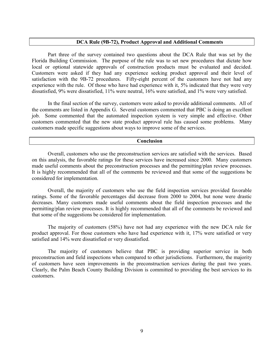#### **DCA Rule (9B-72), Product Approval and Additional Comments**

Part three of the survey contained two questions about the DCA Rule that was set by the Florida Building Commission. The purpose of the rule was to set new procedures that dictate how local or optional statewide approvals of construction products must be evaluated and decided. Customers were asked if they had any experience seeking product approval and their level of satisfaction with the 9B-72 procedures. Fifty-eight percent of the customers have not had any experience with the rule. Of those who have had experience with it, 5% indicated that they were very dissatisfied, 9% were dissatisfied, 11% were neutral, 16% were satisfied, and 1% were very satisfied.

In the final section of the survey, customers were asked to provide additional comments. All of the comments are listed in Appendix G. Several customers commented that PBC is doing an excellent job. Some commented that the automated inspection system is very simple and effective. Other customers commented that the new state product approval rule has caused some problems. Many customers made specific suggestions about ways to improve some of the services.

#### **Conclusion**

Overall, customers who use the preconstruction services are satisfied with the services. Based on this analysis, the favorable ratings for these services have increased since 2000. Many customers made useful comments about the preconstruction processes and the permitting/plan review processes. It is highly recommended that all of the comments be reviewed and that some of the suggestions be considered for implementation.

Overall, the majority of customers who use the field inspection services provided favorable ratings. Some of the favorable percentages did decrease from 2000 to 2004, but none were drastic decreases. Many customers made useful comments about the field inspection processes and the permitting/plan review processes. It is highly recommended that all of the comments be reviewed and that some of the suggestions be considered for implementation.

The majority of customers (58%) have not had any experience with the new DCA rule for product approval. For those customers who have had experience with it, 17% were satisfied or very satisfied and 14% were dissatisfied or very dissatisfied.

The majority of customers believe that PBC is providing superior service in both preconstruction and field inspections when compared to other jurisdictions. Furthermore, the majority of customers have seen improvements in the preconstruction services during the past two years. Clearly, the Palm Beach County Building Division is committed to providing the best services to its customers.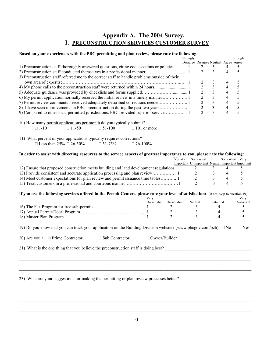## **Appendix A. The 2004 Survey. I. PRECONSTRUCTION SERVICES CUSTOMER SURVEY**

#### **Based on your experiences with the PBC permitting and plan review, please rate the following:**

|                                                                                                                                        |                 |                  |                    |                           | Strongly            |                                       |                |                          | Strongly                                          |
|----------------------------------------------------------------------------------------------------------------------------------------|-----------------|------------------|--------------------|---------------------------|---------------------|---------------------------------------|----------------|--------------------------|---------------------------------------------------|
|                                                                                                                                        |                 |                  |                    |                           |                     | Disagree Disagree Neutral Agree Agree |                |                          |                                                   |
| 1) Preconstruction staff thoroughly answered questions, citing code sections or policies 1                                             |                 |                  |                    |                           |                     | 2                                     | 3              | 4                        | 5                                                 |
|                                                                                                                                        |                 |                  |                    |                           |                     | $\overline{2}$                        | $\overline{3}$ | $\overline{4}$           | 5                                                 |
| 3) Preconstruction staff referred me to the correct staff to handle problems outside of their                                          |                 |                  |                    |                           |                     |                                       |                |                          |                                                   |
|                                                                                                                                        |                 |                  |                    |                           |                     | $\overline{2}$                        | 3              | 4                        | 5                                                 |
|                                                                                                                                        |                 |                  |                    |                           |                     | $\overline{2}$                        | 3              | 4                        | 5                                                 |
|                                                                                                                                        |                 |                  |                    |                           |                     | $\overline{2}$                        | 3              | $\overline{4}$           | 5                                                 |
| 6) My permit application normally received the initial review in a timely manner  1                                                    |                 |                  |                    |                           |                     | $\overline{2}$                        | $\overline{3}$ | $\overline{4}$           | 5                                                 |
| 7) Permit review comments I received adequately described corrections needed1                                                          |                 |                  |                    |                           |                     | $\overline{2}$                        | $\overline{3}$ | $\overline{4}$           | 5                                                 |
|                                                                                                                                        |                 |                  |                    |                           |                     | $\overline{2}$                        | $\overline{3}$ | $\overline{4}$           | 5                                                 |
|                                                                                                                                        |                 |                  |                    |                           |                     | $\overline{2}$                        |                | $\overline{4}$           | 5                                                 |
| 9) Compared to other local permitted jurisdictions, PBC provided superior service  1                                                   |                 |                  |                    |                           |                     |                                       | $\overline{3}$ |                          |                                                   |
|                                                                                                                                        |                 |                  |                    |                           |                     |                                       |                |                          |                                                   |
| 10) How many permit applications per month do you typically submit?                                                                    |                 |                  |                    |                           |                     |                                       |                |                          |                                                   |
| $\Box$ 1-10                                                                                                                            | $\square$ 11-50 | $\Box$ 51-100    | $\Box$ 101 or more |                           |                     |                                       |                |                          |                                                   |
|                                                                                                                                        |                 |                  |                    |                           |                     |                                       |                |                          |                                                   |
| 11) What percent of your applications typically requires corrections?                                                                  |                 |                  |                    |                           |                     |                                       |                |                          |                                                   |
| $\Box$ Less than 25% $\Box$ 26-50%                                                                                                     |                 | $\Box$ 51-75%    | $\Box$ 76-100%     |                           |                     |                                       |                |                          |                                                   |
|                                                                                                                                        |                 |                  |                    |                           |                     |                                       |                |                          |                                                   |
| In order to assist with directing resources to the service aspects of greatest importance to you, please rate the following:           |                 |                  |                    |                           |                     |                                       |                |                          |                                                   |
|                                                                                                                                        |                 |                  |                    |                           | Not at all Somewhat |                                       |                |                          | Somewhat Very                                     |
|                                                                                                                                        |                 |                  |                    |                           |                     |                                       |                |                          | Important Unimportant Neutral Important Important |
| 12) Ensure that proposed construction meets building and land development regulations 1                                                |                 |                  |                    |                           |                     | 2                                     | 3              | 4                        | 5                                                 |
|                                                                                                                                        |                 |                  |                    |                           |                     | $\overline{2}$                        | $\mathfrak{Z}$ | $\overline{4}$           | 5                                                 |
| 14) Meet customer expectations for plan review and permit issuance time tables 1                                                       |                 |                  |                    |                           |                     | $\overline{2}$                        | 3              | $\overline{4}$           | 5                                                 |
|                                                                                                                                        |                 |                  |                    |                           |                     | $\overline{2}$                        | 3              | $\overline{\mathcal{L}}$ |                                                   |
|                                                                                                                                        |                 |                  |                    |                           |                     |                                       |                |                          | 5                                                 |
|                                                                                                                                        |                 |                  |                    |                           |                     |                                       |                |                          |                                                   |
| If you use the following services offered in the Permit Centers, please rate your level of satisfaction: (If not, skip to question 19) |                 |                  |                    |                           |                     |                                       |                |                          |                                                   |
|                                                                                                                                        |                 |                  | Very               | Dissatisfied Dissatisfied |                     |                                       | Satisfied      |                          | Very                                              |
|                                                                                                                                        |                 |                  |                    | 2                         | Neutral             | $\overline{3}$                        | 4              |                          | Satisfied<br>5                                    |
|                                                                                                                                        |                 |                  |                    |                           |                     |                                       |                |                          |                                                   |
|                                                                                                                                        |                 |                  |                    | $\overline{2}$            |                     | 3                                     | $\overline{4}$ |                          | 5                                                 |
|                                                                                                                                        |                 |                  |                    | $\overline{2}$            |                     | 3                                     | $\overline{4}$ |                          | 5                                                 |
|                                                                                                                                        |                 |                  |                    |                           |                     |                                       |                |                          |                                                   |
| 19) Do you know that you can track your application on the Building Division website? (www.pbcgov.com/pzb) $\Box$ No                   |                 |                  |                    |                           |                     |                                       |                |                          | $\Box$ Yes                                        |
|                                                                                                                                        |                 |                  |                    |                           |                     |                                       |                |                          |                                                   |
| 20) Are you a: $\Box$ Prime Contractor                                                                                                 |                 | □ Sub Contractor |                    | $\Box$ Owner/Builder      |                     |                                       |                |                          |                                                   |
|                                                                                                                                        |                 |                  |                    |                           |                     |                                       |                |                          |                                                   |
| 21) What is the one thing that you believe the preconstruction staff is doing best?                                                    |                 |                  |                    |                           |                     |                                       |                |                          |                                                   |
|                                                                                                                                        |                 |                  |                    |                           |                     |                                       |                |                          |                                                   |
|                                                                                                                                        |                 |                  |                    |                           |                     |                                       |                |                          |                                                   |
|                                                                                                                                        |                 |                  |                    |                           |                     |                                       |                |                          |                                                   |
|                                                                                                                                        |                 |                  |                    |                           |                     |                                       |                |                          |                                                   |
|                                                                                                                                        |                 |                  |                    |                           |                     |                                       |                |                          |                                                   |
|                                                                                                                                        |                 |                  |                    |                           |                     |                                       |                |                          |                                                   |
| 23) What are your suggestions for making the permitting or plan review processes better?                                               |                 |                  |                    |                           |                     |                                       |                |                          |                                                   |

 $\_$  ,  $\_$  ,  $\_$  ,  $\_$  ,  $\_$  ,  $\_$  ,  $\_$  ,  $\_$  ,  $\_$  ,  $\_$  ,  $\_$  ,  $\_$  ,  $\_$  ,  $\_$  ,  $\_$  ,  $\_$  ,  $\_$  ,  $\_$  ,  $\_$  ,  $\_$  ,  $\_$  ,  $\_$  ,  $\_$  ,  $\_$  ,  $\_$  ,  $\_$  ,  $\_$  ,  $\_$  ,  $\_$  ,  $\_$  ,  $\_$  ,  $\_$  ,  $\_$  ,  $\_$  ,  $\_$  ,  $\_$  ,  $\_$  ,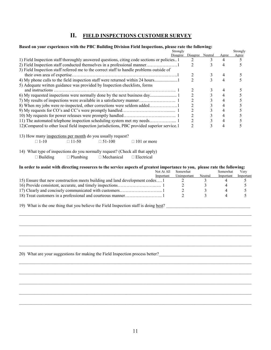#### **II. FIELD INSPECTIONS CUSTOMER SURVEY**

#### **Based on your experiences with the PBC Building Division Field Inspections, please rate the following:**

| Strongly                                                                                     |                  |   |       | Strongly |
|----------------------------------------------------------------------------------------------|------------------|---|-------|----------|
| Disagree                                                                                     | Disagree Neutral |   | Agree | Agree    |
| 1) Field Inspection staff thoroughly answered questions, citing code sections or policies. 1 | 2                | 3 |       |          |
|                                                                                              | 2                |   |       |          |
| 3) Field Inspection staff referred me to the correct staff to handle problems outside of     |                  |   |       |          |
|                                                                                              |                  |   |       |          |
|                                                                                              | $\overline{2}$   |   | 4     |          |
| 5) Adequate written guidance was provided by Inspection checklists, forms                    |                  |   |       |          |
|                                                                                              |                  |   |       |          |
|                                                                                              | 2                |   |       |          |
|                                                                                              |                  |   |       |          |
|                                                                                              |                  |   |       |          |
|                                                                                              |                  |   |       |          |
|                                                                                              |                  |   |       |          |
|                                                                                              |                  |   | 4     |          |
| 12) Compared to other local field inspection jurisdictions, PBC provided superior service.1  | 2                |   | 4     |          |
|                                                                                              |                  |   |       |          |
| 13) How many inspections per month do you usually request?                                   |                  |   |       |          |
| $\Box$ 11-50<br>$\Box$ 1-10<br>$\Box$ 51-100<br>$\Box$ 101 or more                           |                  |   |       |          |
| 14) What type of inspections do you normally request? (Check all that apply)                 |                  |   |       |          |
|                                                                                              |                  |   |       |          |

 $\Box$  Building  $\Box$  Plumbing  $\Box$  Mechanical  $\Box$  Electrical

#### In order to assist with directing resources to the service aspects of greatest importance to you, please rate the following:

| Not At All                                                                   | Somewhat    |         | Somewhat  | Verv      |
|------------------------------------------------------------------------------|-------------|---------|-----------|-----------|
| Important                                                                    | Unimportant | Neutral | Important | Important |
| 15) Ensure that new construction meets building and land development codes 1 |             |         |           |           |
|                                                                              |             |         |           |           |
|                                                                              |             |         |           |           |
|                                                                              |             |         |           |           |

 $\mathcal{L}_\mathcal{L} = \{ \mathcal{L}_\mathcal{L} = \{ \mathcal{L}_\mathcal{L} = \{ \mathcal{L}_\mathcal{L} = \{ \mathcal{L}_\mathcal{L} = \{ \mathcal{L}_\mathcal{L} = \{ \mathcal{L}_\mathcal{L} = \{ \mathcal{L}_\mathcal{L} = \{ \mathcal{L}_\mathcal{L} = \{ \mathcal{L}_\mathcal{L} = \{ \mathcal{L}_\mathcal{L} = \{ \mathcal{L}_\mathcal{L} = \{ \mathcal{L}_\mathcal{L} = \{ \mathcal{L}_\mathcal{L} = \{ \mathcal{L}_\mathcal{$ 

 $\mathcal{L}_\mathcal{L} = \{ \mathcal{L}_\mathcal{L} = \{ \mathcal{L}_\mathcal{L} = \{ \mathcal{L}_\mathcal{L} = \{ \mathcal{L}_\mathcal{L} = \{ \mathcal{L}_\mathcal{L} = \{ \mathcal{L}_\mathcal{L} = \{ \mathcal{L}_\mathcal{L} = \{ \mathcal{L}_\mathcal{L} = \{ \mathcal{L}_\mathcal{L} = \{ \mathcal{L}_\mathcal{L} = \{ \mathcal{L}_\mathcal{L} = \{ \mathcal{L}_\mathcal{L} = \{ \mathcal{L}_\mathcal{L} = \{ \mathcal{L}_\mathcal{$ 

 $\_$  ,  $\_$  ,  $\_$  ,  $\_$  ,  $\_$  ,  $\_$  ,  $\_$  ,  $\_$  ,  $\_$  ,  $\_$  ,  $\_$  ,  $\_$  ,  $\_$  ,  $\_$  ,  $\_$  ,  $\_$  ,  $\_$  ,  $\_$  ,  $\_$  ,  $\_$  ,  $\_$  ,  $\_$  ,  $\_$  ,  $\_$  ,  $\_$  ,  $\_$  ,  $\_$  ,  $\_$  ,  $\_$  ,  $\_$  ,  $\_$  ,  $\_$  ,  $\_$  ,  $\_$  ,  $\_$  ,  $\_$  ,  $\_$  ,

 $\_$  ,  $\_$  ,  $\_$  ,  $\_$  ,  $\_$  ,  $\_$  ,  $\_$  ,  $\_$  ,  $\_$  ,  $\_$  ,  $\_$  ,  $\_$  ,  $\_$  ,  $\_$  ,  $\_$  ,  $\_$  ,  $\_$  ,  $\_$  ,  $\_$  ,  $\_$  ,  $\_$  ,  $\_$  ,  $\_$  ,  $\_$  ,  $\_$  ,  $\_$  ,  $\_$  ,  $\_$  ,  $\_$  ,  $\_$  ,  $\_$  ,  $\_$  ,  $\_$  ,  $\_$  ,  $\_$  ,  $\_$  ,  $\_$  ,

 $\mathcal{L}_\mathcal{L} = \{ \mathcal{L}_\mathcal{L} = \{ \mathcal{L}_\mathcal{L} = \{ \mathcal{L}_\mathcal{L} = \{ \mathcal{L}_\mathcal{L} = \{ \mathcal{L}_\mathcal{L} = \{ \mathcal{L}_\mathcal{L} = \{ \mathcal{L}_\mathcal{L} = \{ \mathcal{L}_\mathcal{L} = \{ \mathcal{L}_\mathcal{L} = \{ \mathcal{L}_\mathcal{L} = \{ \mathcal{L}_\mathcal{L} = \{ \mathcal{L}_\mathcal{L} = \{ \mathcal{L}_\mathcal{L} = \{ \mathcal{L}_\mathcal{$ 

 $\_$  ,  $\_$  ,  $\_$  ,  $\_$  ,  $\_$  ,  $\_$  ,  $\_$  ,  $\_$  ,  $\_$  ,  $\_$  ,  $\_$  ,  $\_$  ,  $\_$  ,  $\_$  ,  $\_$  ,  $\_$  ,  $\_$  ,  $\_$  ,  $\_$  ,  $\_$  ,  $\_$  ,  $\_$  ,  $\_$  ,  $\_$  ,  $\_$  ,  $\_$  ,  $\_$  ,  $\_$  ,  $\_$  ,  $\_$  ,  $\_$  ,  $\_$  ,  $\_$  ,  $\_$  ,  $\_$  ,  $\_$  ,  $\_$  ,

19) What is the one thing that you believe the Field Inspection staff is doing <u>best</u>?

20) What are your suggestions for making the Field Inspection process better?\_\_\_\_\_\_\_\_\_\_\_\_\_\_\_\_\_\_\_\_\_\_\_\_\_\_\_\_\_\_\_\_\_\_\_\_\_\_\_\_\_\_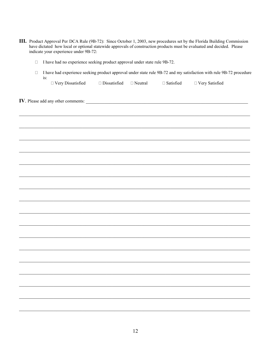| <b>III.</b> Product Approval Per DCA Rule (9B-72): Since October 1, 2003, new procedures set by the Florida Building Commission |  |
|---------------------------------------------------------------------------------------------------------------------------------|--|
| have dictated how local or optional statewide approvals of construction products must be evaluated and decided. Please          |  |
| indicate your experience under 9B-72:                                                                                           |  |

- $\Box$  I have had no experience seeking product approval under state rule 9B-72.
- □ I have had experience seeking product approval under state rule 9B-72 and my satisfaction with rule 9B-72 procedure is:

□ Very Dissatisfied  $\Box$  Dissatisfied  $\Box$  Neutral  $\Box$  Satisfied  $\hfill\Box$  <br> Very Satisfied

IV. Please add any other comments: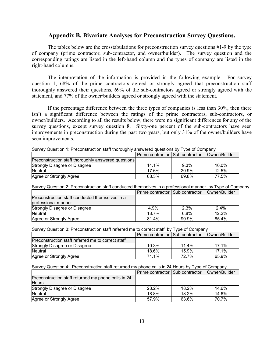#### **Appendix B. Bivariate Analyses for Preconstruction Survey Questions.**

The tables below are the crosstabulations for preconstruction survey questions #1-9 by the type of company (prime contractor, sub-contractor, and owner/builder). The survey question and the corresponding ratings are listed in the left-hand column and the types of company are listed in the right-hand columns.

The interpretation of the information is provided in the following example: For survey question 1, 68% of the prime contractors agreed or strongly agreed that preconstruction staff thoroughly answered their questions, 69% of the sub-contractors agreed or strongly agreed with the statement, and 77% of the owner/builders agreed or strongly agreed with the statement.

If the percentage difference between the three types of companies is less than 30%, then there isn't a significant difference between the ratings of the prime contractors, sub-contractors, or owner/builders. According to all the results below, there were no significant differences for any of the survey questions, except survey question 8. Sixty-one percent of the sub-contractors have seen improvements in preconstruction during the past two years, but only 31% of the owner/builders have seen improvements.

|                                                     | Prime contractor   Sub contractor |         | Owner/Builder |  |  |  |  |  |
|-----------------------------------------------------|-----------------------------------|---------|---------------|--|--|--|--|--|
| Preconstruction staff thoroughly answered questions |                                   |         |               |  |  |  |  |  |
| Strongly Disagree or Disagree                       | $14.1\%$                          | $9.3\%$ | 10.0%         |  |  |  |  |  |
| Neutral                                             | 17.6%                             | 20.9%   | 12.5%         |  |  |  |  |  |
| Agree or Strongly Agree                             | 68.3%                             | 69.8%   | 77.5%         |  |  |  |  |  |

Survey Question 1: Preconstruction staff thoroughly answered questions by Type of Company

Survey Question 2: Preconstruction staff conducted themselves in a professional manner by Type of Company

|                                                                        | Prime contractor   Sub contractor |       | Owner/Builder |
|------------------------------------------------------------------------|-----------------------------------|-------|---------------|
| Preconstruction staff conducted themselves in a<br>professional manner |                                   |       |               |
| Strongly Disagree or Disagree                                          | 4.9%                              | 2.3%  | 2.4%          |
| <b>Neutral</b>                                                         | 13.7%                             | 6.8%  | 12.2%         |
| Agree or Strongly Agree                                                | 81.4%                             | 90.9% | 85.4%         |

Survey Question 3: Preconstruction staff referred me to correct staff by Type of Company

|                                                    | Prime contractor I Sub contractor |       | Owner/Builder |
|----------------------------------------------------|-----------------------------------|-------|---------------|
| Preconstruction staff referred me to correct staff |                                   |       |               |
| Strongly Disagree or Disagree                      | 10.3%                             | 11.4% | $17.1\%$      |
| Neutral                                            | 18.6%                             | 15.9% | 17.1%         |
| Agree or Strongly Agree                            | 71 1%                             | 72.7% | 65.9%         |

Survey Question 4: Preconstruction staff returned my phone calls in 24 Hours by Type of Company

|                                                     | Prime contractor   Sub contractor |       | Owner/Builder |
|-----------------------------------------------------|-----------------------------------|-------|---------------|
| Preconstruction staff returned my phone calls in 24 |                                   |       |               |
| <b>Hours</b>                                        |                                   |       |               |
| Strongly Disagree or Disagree                       | 23.2%                             | 18.2% | 14.6%         |
| Neutral                                             | 18.8%                             | 18.2% | 14.6%         |
| Agree or Strongly Agree                             | 57.9%                             | 63.6% | 70.7%         |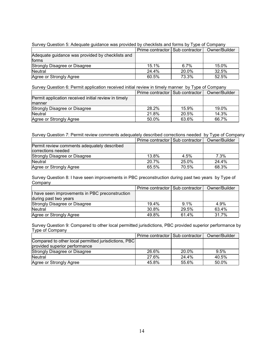|                                                  | Prime contractor Sub contractor |         | Owner/Builder |
|--------------------------------------------------|---------------------------------|---------|---------------|
| Adequate guidance was provided by checklists and |                                 |         |               |
| forms                                            |                                 |         |               |
| Strongly Disagree or Disagree                    | 15.1%                           | $6.7\%$ | 15.0%         |
| Neutral                                          | 24.4%                           | 20.0%   | 32.5%         |
| Agree or Strongly Agree                          | 60.5%                           | 73.3%   | 52.5%         |

#### Survey Question 5: Adequate guidance was provided by checklists and forms by Type of Company

Survey Question 6: Permit application received initial review in timely manner by Type of Company

|                                                      | Prime contractor Sub contractor |       | Owner/Builder |
|------------------------------------------------------|---------------------------------|-------|---------------|
| Permit application received initial review in timely |                                 |       |               |
| manner                                               |                                 |       |               |
| Strongly Disagree or Disagree                        | 28.2%                           | 15.9% | 19.0%         |
| <b>Neutral</b>                                       | 21.8%                           | 20.5% | 14.3%         |
| Agree or Strongly Agree                              | 50.0%                           | 63.6% | 66.7%         |

#### Survey Question 7: Permit review comments adequately described corrections needed by Type of Company

|                                             | Prime contractor   Sub contractor |       | Owner/Builder |
|---------------------------------------------|-----------------------------------|-------|---------------|
| Permit review comments adequately described |                                   |       |               |
| corrections needed                          |                                   |       |               |
| Strongly Disagree or Disagree               | 13.8%                             | 4.5%  | 7.3%          |
| Neutral                                     | 20.7%                             | 25.0% | 24.4%         |
| Agree or Strongly Agree                     | 65.5%                             | 70.5% | 68.3%         |

Survey Question 8: I have seen improvements in PBC preconstruction during past two years by Type of **Company** 

|                                                 | Prime contractor   Sub contractor |       | Owner/Builder |
|-------------------------------------------------|-----------------------------------|-------|---------------|
| I have seen improvements in PBC preconstruction |                                   |       |               |
| during past two years                           |                                   |       |               |
| Strongly Disagree or Disagree                   | 19.4%                             | 9.1%  | 4.9%          |
| Neutral                                         | 30.8%                             | 29.5% | 63.4%         |
| Agree or Strongly Agree                         | 49.8%                             | 61.4% | 31.7%         |

Survey Question 9: Compared to other local permitted jurisdictions, PBC provided superior performance by Type of Company

|                                                      | Prime contractor   Sub contractor |       | Owner/Builder |
|------------------------------------------------------|-----------------------------------|-------|---------------|
| Compared to other local permitted jurisdictions, PBC |                                   |       |               |
| provided superior performance                        |                                   |       |               |
| Strongly Disagree or Disagree                        | 26.6%                             | 20.0% | 9.5%          |
| Neutral                                              | 27.6%                             | 24.4% | 40.5%         |
| Agree or Strongly Agree                              | 45.8%                             | 55.6% | 50.0%         |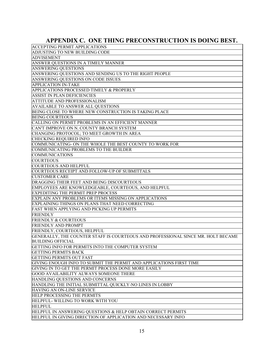# **APPENDIX C. ONE THING PRECONSTRUCTION IS DOING BEST.**

| <b>ACCEPTING PERMIT APPLICATIONS</b>                                             |
|----------------------------------------------------------------------------------|
| ADJUSTING TO NEW BUILDING CODE                                                   |
| <b>ADVISEMENT</b>                                                                |
| ANSWER QUESTIONS IN A TIMELY MANNER                                              |
| <b>ANSWERING OUESTIONS</b>                                                       |
| ANSWERING QUESTIONS AND SENDING US TO THE RIGHT PEOPLE                           |
| ANSWERING QUESTIONS ON CODE ISSUES                                               |
| <b>APPLICATION IN-TAKE</b>                                                       |
| APPLICATIONS PROCESSED TIMELY & PROPERLY                                         |
| <b>ASSIST IN PLAN DEFICIENCIES</b>                                               |
| <b>ATTITUDE AND PROFESSIONALISM</b>                                              |
| AVAILABLE TO ANSWER ALL QUESTIONS                                                |
| BEING CLOSE TO WHERE NEW CONSTRUCTION IS TAKING PLACE                            |
| <b>BEING COURTEOUS</b>                                                           |
|                                                                                  |
| CALLING ON PERMIT PROBLEMS IN AN EFFICIENT MANNER                                |
| CAN'T IMPROVE ON N. COUNTY BRANCH SYSTEM                                         |
| CHANGING PROTOCOL; TO MEET GROWTH IN AREA                                        |
| <b>CHECKING REQUIRED INFO</b>                                                    |
| COMMUNICATING- ON THE WHOLE THE BEST COUNTY TO WORK FOR                          |
| COMMUNICATING PROBLEMS TO THE BUILDER                                            |
| <b>COMMUNICATIONS</b>                                                            |
| <b>COURTEOUS</b>                                                                 |
| <b>COURTEOUS AND HELPFUL</b>                                                     |
| COURTEOUS RECEIPT AND FOLLOW-UP OF SUBMITTALS                                    |
| <b>CUSTOMER CARE</b>                                                             |
| DRAGGING THEIR FEET AND BEING DISCOURTEOUS                                       |
| EMPLOYEES ARE KNOWLEDGEABLE, COURTEOUS, AND HELPFUL                              |
| <b>EXPEDITING THE PERMIT PREP PROCESS</b>                                        |
| EXPLAIN ANY PROBLEMS OR ITEMS MISSING ON APPLICATIONS                            |
| EXPLAINING THINGS ON PLANS THAT NEED CORRECTING                                  |
| FAST WHEN APPLYING AND PICKING UP PERMITS                                        |
| FRIENDLY                                                                         |
| <b>FRIENDLY &amp; COURTEOUS</b>                                                  |
| FRIENDLY AND PROMPT                                                              |
| FRIENDLY, COURTEOUS, HELPFUL                                                     |
| GENERALLY, THE COUNTER STAFF IS COURTEOUS AND PROFESSIONAL SINCE MR. HOLT BECAME |
| <b>BUILDING OFFICIAL</b>                                                         |
| GETTING INFO FOR PERMITS INTO THE COMPUTER SYSTEM                                |
| <b>GETTING PERMITS BACK</b>                                                      |
| <b>GETTING PERMITS OUT FAST</b>                                                  |
| GIVING ENOUGH INFO TO SUBMIT THE PERMIT AND APPLICATIONS FIRST TIME              |
| GIVING IN TO GET THE PERMIT PROCESS DONE MORE EASILY                             |
| <b>GOOD AVAILABILITY ALWAYS SOMEONE THERE</b>                                    |
| HANDLING QUESTIONS AND CONCERNS                                                  |
| HANDLING THE INITIAL SUBMITTAL QUICKLY-NO LINES IN LOBBY                         |
| HAVING AN ON-LINE SERVICE                                                        |
| HELP PROCESSING THE PERMITS                                                      |
| HELPFUL- WILLING TO WORK WITH YOU                                                |
| <b>HELPFUL</b>                                                                   |
| HELPFUL IN ANSWERING QUESTIONS & HELP OBTAIN CORRECT PERMITS                     |
| HELPFUL IN GIVING DIRECTION OF APPLICATION AND NECESSARY INFO                    |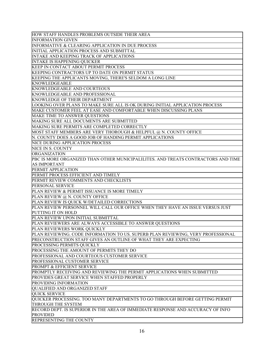| HOW STAFF HANDLES PROBLEMS OUTSIDE THEIR AREA                                     |
|-----------------------------------------------------------------------------------|
| <b>INFORMATION GIVEN</b>                                                          |
| <b>INFORMATIVE &amp; CLEARING APPLICATION IN DUE PROCESS</b>                      |
| INITIAL APPLICATION PROCESS AND SUBMITTAL                                         |
| INTAKE AND KEEPING TRACK OF APPLICATIONS                                          |
| <b>INTAKE IS HAPPENING QUICKER</b>                                                |
| KEEP IN CONTACT ABOUT PERMIT PROCESS                                              |
| KEEPING CONTRACTORS UP TO DATE ON PERMIT STATUS                                   |
| KEEPING THE APPLICANTS MOVING, THERE'S SELDOM A LONG LINE                         |
| <b>KNOWLEDGEABLE</b>                                                              |
| KNOWLEDGEABLE AND COURTEOUS                                                       |
| KNOWLEDGEABLE AND PROFESSIONAL                                                    |
| KNOWLEDGE OF THEIR DEPARTMENT                                                     |
| LOOKING OVER PLANS TO MAKE SURE ALL IS OK DURING INITIAL APPLICATION PROCESS      |
| MAKE CUSTOMER FEEL AT EASE AND COMFORTABLE WHEN DISCUSSING PLANS                  |
| MAKE TIME TO ANSWER QUESTIONS                                                     |
| MAKING SURE ALL DOCUMENTS ARE SUBMITTED                                           |
| MAKING SURE PERMITS ARE COMPLETED CORRECTLY                                       |
| MOST STAFF MEMBERS ARE VERY THOROUGH & HELPFUL @ N. COUNTY OFFICE                 |
| N. COUNTY DOES A GOOD JOB OF HANDING PERMIT APPLICATIONS                          |
| NICE DURING APPLICATION PROCESS                                                   |
| NICE IN S. COUNTY                                                                 |
| ORGANIZATION                                                                      |
| PBC IS MORE ORGANIZED THAN OTHER MUNICIPALILITES. AND TREATS CONTRACTORS AND TIME |
| <b>AS IMPORTANT</b>                                                               |
| PERMIT APPLICATION                                                                |
| PERMIT PROCESS EFFICIENT AND TIMELY                                               |
|                                                                                   |
| PERMIT REVIEW COMMENTS AND CHECKLISTS                                             |
| PERSONAL SERVICE                                                                  |
| PLAN REVIEW & PERMIT ISSUANCE IS MORE TIMELY                                      |
| PLAN REVIEW @ N. COUNTY OFFICE                                                    |
| PLAN REVIEW IS QUICK W/DETAILED CORRECTIONS                                       |
| PLAN REVIEW PERSONNEL WILL CALL OUR OFFICE WHEN THEY HAVE AN ISSUE VERSUS JUST    |
| PUTTING IT ON HOLD                                                                |
| PLAN REVIEW UPON INITIAL SUBMITTAL                                                |
| PLAN REVIEWERS ARE ALWAYS ACCESSIBLE TO ANSWER QUESTIONS                          |
| PLAN REVIEWERS WORK QUICKLY                                                       |
| PLAN REVIEWING. CODE INFORMATION TO US. SUPERB PLAN REVIEWING, VERY PROFESSIONAL  |
| PRECONSTRUCTION STAFF GIVES AN OUTLINE OF WHAT THEY ARE EXPECTING                 |
| PROCESSING PERMITS QUICKLY                                                        |
| PROCESSING THE AMOUNT OF PERMITS THEY DO                                          |
| PROFESSIONAL AND COURTEOUS CUSTOMER SERVICE                                       |
| PROFESSIONAL CUSTOMER SERVICE                                                     |
| PROMPT & EFFICIENT SERVICE                                                        |
| PROMPTLY RECEIVING AND REVIEWING THE PERMIT APPLICATIONS WHEN SUBMITTED           |
| PROVIDES GREAT SERVICE WHEN STAFFED PROPERLY                                      |
| PROVIDING INFORMATION                                                             |
| QUALIFIED AND ORGANIZED STAFF                                                     |
| <b>QUICK SERVICE</b>                                                              |
| QUICKER PROCESSING. TOO MANY DEPARTMENTS TO GO THROUGH BEFORE GETTING PERMIT      |
| THROUGH THE SYSTEM                                                                |
| RECORD DEPT. IS SUPERIOR IN THE AREA OF IMMEDIATE RESPONSE AND ACCURACY OF INFO   |
| PROVIDED<br>REPRESENTING THE COUNTY                                               |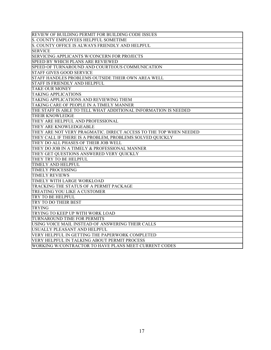| REVIEW OF BUILDING PERMIT FOR BUILDING CODE ISSUES                |
|-------------------------------------------------------------------|
| S. COUNTY EMPLOYEES HELPFUL SOMETIME                              |
| S. COUNTY OFFICE IS ALWAYS FRIENDLY AND HELPFUL                   |
| <b>SERVICE</b>                                                    |
| SERVICING APPLICANTS W/CONCERN FOR PROJECTS                       |
| <b>SPEED BY WHICH PLANS ARE REVIEWED</b>                          |
| SPEED OF TURNAROUND AND COURTEOUS COMMUNICATION                   |
| <b>STAFF GIVES GOOD SERVICE</b>                                   |
| STAFF HANDLES PROBLEMS OUTSIDE THEIR OWN AREA WELL                |
| STAFF IS FRIENDLY AND HELPFUL                                     |
| <b>TAKE OUR MONEY</b>                                             |
| <b>TAKING APPLICATIONS</b>                                        |
| TAKING APPLICATIONS AND REVIEWING THEM                            |
| TAKING CARE OF PEOPLE IN A TIMELY MANNER                          |
| THE STAFF IS ABLE TO TELL WHAT ADDITIONAL INFORMATION IS NEEDED   |
| THEIR KNOWLEDGE                                                   |
| THEY ARE HELPFUL AND PROFESSIONAL                                 |
| THEY ARE KNOWLEDGEABLE                                            |
| THEY ARE NOT VERY PRAGMATIC. DIRECT ACCESS TO THE TOP WHEN NEEDED |
| THEY CALL IF THERE IS A PROBLEM, PROBLEMS SOLVED QUICKLY          |
| THEY DO ALL PHASES OF THEIR JOB WELL                              |
| THEY DO JOB IN A TIMELY & PROFESSIONAL MANNER                     |
| THEY GET QUESTIONS ANSWERED VERY QUICKLY                          |
| THEY TRY TO BE HELPFUL                                            |
| TIMELY AND HELPFUL                                                |
| <b>TIMELY PROCESSING</b>                                          |
| <b>TIMELY REVIEWS</b>                                             |
| TIMELY WITH LARGE WORKLOAD                                        |
| TRACKING THE STATUS OF A PERMIT PACKAGE                           |
| TREATING YOU LIKE A CUSTOMER                                      |
| TRY TO BE HELPFUL                                                 |
| TRY TO DO THEIR BEST                                              |
| <b>TRYING</b>                                                     |
| TRYING TO KEEP UP WITH WORK LOAD                                  |
| TURNAROUND TIME FOR PERMITS                                       |
| USING VOICE MAIL INSTEAD OF ANSWERING THEIR CALLS                 |
| USUALLY PLEASANT AND HELPFUL                                      |
| VERY HELPFUL IN GETTING THE PAPERWORK COMPLETED                   |
| VERY HELPFUL IN TALKING ABOUT PERMIT PROCESS                      |
| WORKING W/CONTRACTOR TO HAVE PLANS MEET CURRENT CODES             |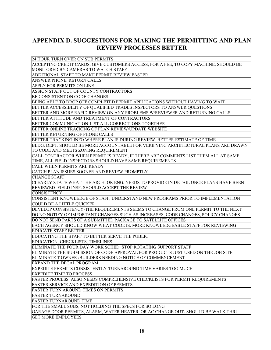### **APPENDIX D. SUGGESTIONS FOR MAKING THE PERMITTING AND PLAN REVIEW PROCESSES BETTER**

| 24 HOUR TURN OVER ON SUB PERMITS                                                     |
|--------------------------------------------------------------------------------------|
| ACCEPTING CREDIT CARDS, GIVE CUSTOMERS ACCESS, FOR A FEE, TO COPY MACHINE, SHOULD BE |
| MONITORED BY CAMERAS TO WATCH STAFF                                                  |
| ADDITIONAL STAFF TO MAKE PERMIT REVIEW FASTER                                        |
| ANSWER PHONE, RETURN CALLS                                                           |
| APPLY FOR PERMITS ON LINE                                                            |
| ASSIGN STAFF OUT OF COUNTY CONTRACTORS                                               |
| BE CONSISTENT ON CODE CHANGES                                                        |
| BEING ABLE TO DROP OFF COMPLETED PERMIT APPLICATIONS WITHOUT HAVING TO WAIT          |
| BETTER ACCESSIBILITY OF QUALIFIED TRADES INSPECTORS TO ANSWER QUESTIONS              |
| BETTER AND MORE RAPID REVIEW ON ANY PROBLEMS W/REVIEWER AND RETURNING CALLS          |
| BETTER ATTITUDE AND TREATMENT OF CONTRACTORS                                         |
| BETTER COMMUNICATION-LIST ALL CORRECTIONS TOGETHER                                   |
| BETTER ONLINE TRACKING OF PLAN REVIEW/UPDATE WEBSITE                                 |
| BETTER RETURNING OF PHONE CALLS                                                      |
| BETTER TRACKING INFO WHERE PLAN IS DURING REVIEW. BETTER ESTIMATE OF TIME            |
| BLDG. DEPT. SHOULD BE MORE ACCOUNTABLE FOR VERIFYING ARCHITECTURAL PLANS ARE DRAWN   |
| TO CODE AND MEETS ZONING REQUIREMENT                                                 |
| CALL CONTRACTOR WHEN PERMIT IS READY, IF THERE ARE COMMENTS LIST THEM ALL AT SAME    |
| TIME, ALL FIELD INSPECTORS SHOULD HAVE SAME REQUIREMENTS                             |
| CALL WHEN PERMITS ARE READY                                                          |
| CATCH PLAN ISSUES SOONER AND REVIEW PROMPTLY                                         |
| <b>CHANGE STAFF</b>                                                                  |
| CLEARLY STATE WHAT THE ARCH. OR ENG. NEEDS TO PROVIDE IN DETAIL ONCE PLANS HAVE BEEN |
| REVIEWED- FIELD INSP. SHOULD ACCEPT THE REVIEW                                       |
| CONSISTENCY                                                                          |
| CONSISTENT KNOWLEDGE OF STAFF, UNDERSTAND NEW PROGRAMS PRIOR TO IMPLEMENTATION       |
| COULD BE A LITTLE QUICKER                                                            |
| DEVELOP CONSISTENCY-THE REQUIREMENTS SEEMS TO CHANGE FROM ONE PERMIT TO THE NEXT     |
| DO NO NOTIFY OF IMPORTANT CHANGES SUCH AS INCREASES, CODE CHANGES, POLICY CHANGES    |
| DO NOT SEND PARTS OF A SUBMITTED PACKAGE TO SATELLITE OFFICES                        |
| EACH AGENCY SHOULD KNOW WHAT CODE IS. MORE KNOWLEDGEABLE STAFF FOR REVIEWING         |
| <b>EDUCATE STAFF BETTER</b>                                                          |
| EDUCATING THE STAFF TO BETTER SERVE THE PUBLIC                                       |
| EDUCATION, CHECKLISTS, TIMELINES                                                     |
| ELIMINATE THE FOUR DAY WORK SCHED. STOP ROTATING SUPPORT STAFF                       |
| ELIMINATE THE SUBMISSION OF CODE APPROVAL FOR PRODUCTS JUST USED ON THE JOB SITE.    |
| ELIMINATE T OWNER /BUILDERS NEEDING NOTICE OF COMMENCEMENT                           |
| EXPAND THE DECAL PROGRAM                                                             |
| EXPEDITE PERMITS CONSISTENTLY-TURNAROUND TIME VARIES TOO MUCH                        |
| <b>EXPEDITE TIME TO PROCESS</b>                                                      |
| FASTER PROCESS. ALSO NEEDS COMPREHENSIVE CHECKLISTS FOR PERMIT REQUIREMENTS          |
| FASTER SERVICE AND EXPEDITION OF PERMITS                                             |
| FASTER TURN AROUND TIMES ON PERMITS                                                  |
| <b>FASTER TURNAROUND</b>                                                             |
| FASTER TURNAROUND TIME                                                               |
|                                                                                      |
| FOR THE SMALL SUBS, NOT HOLDING THE SPECS FOR SO LONG                                |
| GARAGE DOOR PERMITS, ALARM, WATER HEATER, OR AC CHANGE OUT- SHOULD BE WALK THRU      |
| <b>GET MORE EMPLOYEES</b>                                                            |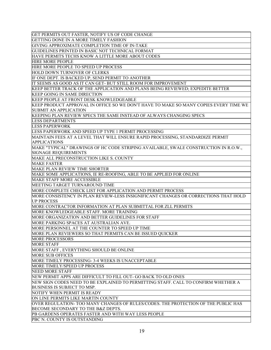GET PERMITS OUT FASTER, NOTIFY US OF CODE CHANGE GETTING DONE IN A MORE TIMELY FASHION

GIVING APPROXIMATE COMPLETION TIME OF IN-TAKE

GUIDELINES PRINTED IN BASIC NOT TECHNICAL FORMAT

HAVE PERMITS TECHS KNOW A LITTLE MORE ABOUT CODES

HIRE MORE PEOPLE

HIRE MORE PEOPLE TO SPEED UP PROCESS

HOLD DOWN TURNOVER OF CLERKS

IF ONE DEPT. IS BACKED UP, SEND PERMIT TO ANOTHER

IT SEEMS AS GOOD AS IT CAN GET- BUT STILL ROOM FOR IMPROVEMENT

KEEP BETTER TRACK OF THE APPLICATION AND PLANS BEING REVIEWED; EXPEDITE BETTER

KEEP GOING IN SAME DIRECTION

KEEP PEOPLE AT FRONT DESK KNOWLEDGEABLE

KEEP PRODUCT APPROVAL IN OFFICE SO WE DON'T HAVE TO MAKE SO MANY COPIES EVERY TIME WE SUBMIT AN APPLICATION

KEEPING PLAN REVIEW SPECS THE SAME INSTEAD OF ALWAYS CHANGING SPECS

LESS DEPARTMENTS

LESS PAPERWORK

LESS PAPERWORK AND SPEED UP TYPE 1 PERMIT PROCESSING

MAINTAIN FEES AT A LEVEL THAT WILL ENSURE RAPID PROCESSING, STANDARDIZE PERMIT

APPLICATIONS

MAKE "TYPICAL" DRAWINGS OF HC CODE STRIPING AVAILABLE, SWALE CONSTRUCTION IN R.O.W., SIGNAGE REQUIREMENTS

MAKE ALL PRECONSTRUCTION LIKE S. COUNTY

MAKE FASTER

MAKE PLAN REVIEW TIME SHORTER

MAKE SOME APPLICATIONS, IE RE-ROOFING, ABLE TO BE APPLIED FOR ONLINE

MAKE STAFF MORE ACCESSIBLE

MEETING TARGET TURNAROUND TIME

MORE COMPLETE CHECK LIST FOR APPLICATION AND PERMIT PROCESS

MORE CONSISTENCY IN PLAN REVIEW-LESS INSIGNIFICANT CHANGES OR CORRECTIONS THAT HOLD UP PROCESS

MORE CONTRACTOR INFORMATION AT PLAN SUBMITTAL FOR ZLL PERMITS

MORE KNOWLEDGEABLE STAFF. MORE TRAINING

MORE ORGANIZATION AND BETTER GUIDELINES FOR STAFF

MORE PARKING SPACES AT AUSTRALIAN AVE.

MORE PERSONNEL AT THE COUNTER TO SPEED UP TIME

MORE PLAN REVIEWERS SO THAT PERMITS CAN BE ISSUED QUICKER

MORE PROCESSORS

MORE STAFF

MORE STAFF , EVERYTHING SHOULD BE ONLINE

MORE SUB OFFICES

MORE TIMELY PROCESSING- 3-4 WEEKS IS UNACCEPTABLE

MORE TIMELY/SPEED UP PROCESS

NEED MORE STAFF

NEW PERMIT APPS ARE DIFFICULT TO FILL OUT- GO BACK TO OLD ONES

NEW SIGN CODES NEED TO BE EXPLAINED TO PERMITTING STAFF. CALL TO CONFIRM WHETHER A BUSINESS IS SUBJECT TO MSP.

NOTIFY WHEN PERMIT IS READY

ON LINE PERMITS LIKE MARTIN COUNTY

OVER REGULATION- TOO MANY CHANGES OF RULES/CODES. THE PROTECTION OF THE PUBLIC HAS BECOME SECONDARY TO THE B&Z DEPTS.

PB GARDENS OPERATES FASTER AND WITH WAY LESS PEOPLE

PBC N. COUNTY IS OUTSTANDING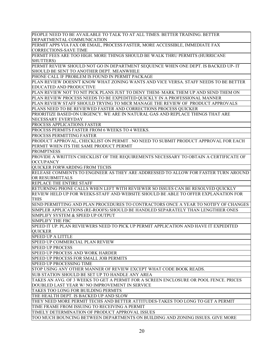PEOPLE NEED TO BE AVAILABLE TO TALK TO AT ALL TIMES. BETTER TRAINING. BETTER DEPARTMENTAL COMMUNICATION

PERMIT APPS VIA FAX OR EMAIL, PROCESS FASTER, MORE ACCESSIBLE, IMMEDIATE FAX CORRECTIONS-SAVE TIME

PERMIT FEES ARE TOO HIGH. MORE THINGS SHOULD BE WALK THRU PERMITS (HURRICANE SHUTTERS)

PERMIT REVIEW SHOULD NOT GO IN DEPARTMENT SEQUENCE WHEN ONE DEPT. IS BACKED UP- IT SHOULD BE SENT TO ANOTHER DEPT. MEANWHILE

PHONE CALL IF PROBLEM IS FOUND IN PERMIT PACKAGE

PLAN REVIEW DOESN'T KNOW WHAT ZONING WANTS AND VICE VERSA. STAFF NEEDS TO BE BETTER EDUCATED AND PRODUCTIVE

PLAN REVIEW NOT TO NIT PICK PLANS JUST TO DENY THEM- MARK THEM UP AND SEND THEM ON

PLAN REVIEW PROCESS NEEDS TO BE EXPEDITED QUICKLY IN A PROFESSIONAL MANNER

PLAN REVIEW STAFF SHOULD TRYING TO MICR MANAGE THE REVIEW OF PRODUCT APPROVALS

PLANS NEED TO BE REVIEWED FASTER AND CORRECTIONS PROCESS QUICKER

PRIORITIZE BASED ON URGENCY. WE ARE IN NATURAL GAS AND REPLACE THINGS THAT ARE NECESSARY EVERYDAY

PROCESS APPLICATIONS FASTER

PROCESS PERMITS FASTER FROM 6 WEEKS TO 4 WEEKS.

PROCESS PERMITTING FASTER

PRODUCT APPROVAL, CHECKLIST ON PERMIT . NO NEED TO SUBMIT PRODUCT APPROVAL FOR EACH PERMIT WHEN ITS THE SAME PRODUCT PERMIT

**PROMPTNESS** 

PROVIDE A WRITTEN CHECKLIST OF THE REQUIREMENTS NECESSARY TO OBTAIN A CERTIFICATE OF **OCCUPANCY** 

QUICKER FORWARDING FROM TECHS

RELEASE COMMENTS TO ENGINEER AS THEY ARE ADDRESSED TO ALLOW FOR FASTER TURN AROUND OR RESUBMITTALS

REPLACE THE ENTIRE STAFF

RETURNING PHONE CALLS WHEN LEFT WITH REVIEWER SO ISSUES CAN BE RESOLVED QUICKLY REVIEW HELD UP FOR WEEKS-STAFF AND WEBSITE SHOULD BE ABLE TO OFFER EXPLANATION FOR THIS

SEND PERMITTING AND PLAN PROCEDURES TO CONTRACTORS ONCE A YEAR TO NOTIFY OF CHANGES SIMPLER APPLICATIONS (RE-ROOFS) SHOULD BE HANDLED SEPARATELY THAN LENGTHIER ONES SIMPLIFY SYSTEM & SPEED UP OUTPUT

SIMPLIFY THE FBC

SPEED IT UP. PLAN REVIEWERS NEED TO PICK UP PERMIT APPLICATION AND HAVE IT EXPEDITED QUICKER

SPEED UP A LITTLE

SPEED UP COMMERCIAL PLAN REVIEW

SPEED UP PROCESS

SPEED UP PROCESS AND WORK HARDER

SPEED UP PROCESS FOR SMALL JOB PERMITS

SPEED UP PROCESSING TIME

STOP USING ANY OTHER MANNER OF REVIEW EXCEPT WHAT CODE BOOK READS.

SUB STATION SHOULD BE SET UP TO HANDLE ANY AREA

TAKES AN AVG. OF 3 WEEKS TO GET A PERMIT FOR A SCREEN ENCLOSURE OR POOL FENCE. PRICES DOUBLED LAST YEAR W/ NO IMPROVEMENT IN SERVICE

TAKES TOO LONG FOR BUILDING PERMITS

THE HEALTH DEPT. IS BACKED UP AND SLOW

THEY NEED MORE PERMIT TECHS AND BETTER ATTITUDES-TAKES TOO LONG TO GET A PERMIT

TIME FRAME FROM ISSUING TO RECEIVING A PERMIT

TIMELY DETERMINATION OF PRODUCT APPROVAL ISSUES

TOO MUCH BOUNCING BETWEEN DEPARTMENTS ON BUILDING AND ZONING ISSUES. GIVE MORE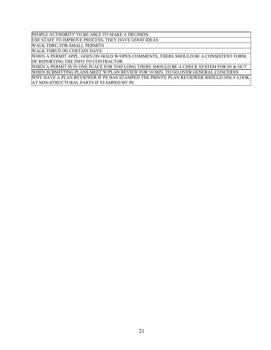PEOPLE AUTHORITY TO BE ABLE TO MAKE A DECISION

USE STAFF TO IMPROVE PROCESS, THEY HAVE GOOD IDEAS

WALK THRU FOR SMALL PERMITS

WALK THRUS ON CERTAIN DAYS

WHEN A PERMIT APPL. GOES ON HOLD W/OPEN COMMENTS, THERE SHOULD BE A CONSISTENT FORM OF REPORTING THE INFO TO CONTRACTOR

WHEN A PERMIT IS IN ONE PLACE FOR TOO LONG THERE SHOULD BE A CHECK SYSTEM FOR IN & OUT WHEN SUBMITTING PLANS MEET W/PLAN REVIEW FOR 10 MIN. TO GO OVER GENERAL CONCERNS

WHY HAVE A PLAN REVIEWER IF PE HAS STAMPED THE PRINTS. PLAN REVIEWER SHOULD ONLY LOOK AT NON-STRUCTURAL PARTS IF STAMPED BY PE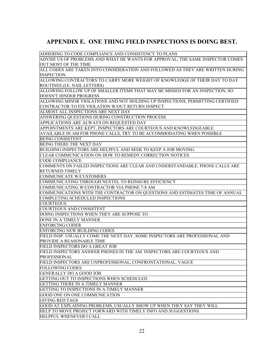# **APPENDIX E. ONE THING FIELD INSPECTIONS IS DOING BEST.**

| ADHERING TO CODE COMPLIANCE AND CONSISTENCY TO PLANS                           |
|--------------------------------------------------------------------------------|
| ADVISE US OF PROBLEMS AND WHAT HE WANTS FOR APPROVAL; THE SAME INSPECTOR COMES |
| <b>OUT MOST OF THE TIME</b>                                                    |
| ALL CODES ARE TAKEN INTO CONSIDERATION AND FOLLOWED AS THEY ARE WRITTEN DURING |
| <b>INSPECTION</b>                                                              |
| ALLOWING CONTRACTORS TO CARRY MORE WEIGHT OF KNOWLEDGE OF THEIR DAY TO DAY     |
| ROUTINES (I.E. NAIL LETTERS)                                                   |
| ALLOWING FOLLOW UP OF SMALLER ITEMS THAT MAY BE MISSED FOR AN INSPECTION, SO   |
| DOESN'T HINDER PROGRESS                                                        |
| ALLOWING MINOR VIOLATIONS AND NOT HOLDING UP INSPECTIONS. PERMITTING CERTIFIED |
| CONTRACTOR TO FIX VIOLATION W/OUT RETURN INSPECT                               |
| ALMOST ALL INSPECTIONS ARE NEXT DAY                                            |
| ANSWERING QUESTIONS DURING CONSTRUCTION PROCESS                                |
| APPLICATIONS ARE ALWAYS ON REQUESTED DAY                                       |
| APPOINTMENTS ARE KEPT, INSPECTORS ARE COURTEOUS AND KNOWLEDGEABLE              |
| AVAILABLE IN AM FOR PHONE CALLS, TRY TO BE ACCOMMODATING WHEN POSSIBLE         |
| <b>BEING CONSISTENT</b>                                                        |
| BEING THERE THE NEXT DAY                                                       |
| BUILDING INSPECTORS ARE HELPFUL AND SEEK TO KEEP A JOB MOVING.                 |
| CLEAR COMMUNICATION ON HOW TO REMEDY CORRECTION NOTICES                        |
| <b>CODE COMPLIANCE</b>                                                         |
| COMMENTS ON FAILED INSPECTIONS ARE CLEAR AND UNDERSTANDABLE, PHONE CALLS ARE   |
| RETURNED TIMELY                                                                |
| <b>COMMUNICATE W/CUSTOMERS</b>                                                 |
| COMMUNICATING THROUGH NEXTEL TO REINSURE EFFICIENCY                            |
| COMMUNICATING W/CONTRACTOR VIA PHONE 7-8 AM                                    |
| COMMUNICATIONS WITH THE CONTRACTOR ON QUESTIONS AND ESTIMATES TIME OF ANNUAL   |
| <b>COMPLETING SCHEDULED INSPECTIONS</b>                                        |
| <b>COURTEOUS</b>                                                               |
| COURTEOUS AND CONSISTENT                                                       |
| DOING INSPECTIONS WHEN THEY ARE SUPPOSE TO                                     |
| DONE IN A TIMELY MANNER                                                        |
| <b>ENFORCING CODER</b>                                                         |
| ENFORCING NEW BUILDING CODES                                                   |
| FIELD INSP. USUALLY COME THE NEXT DAY. SOME INSPECTORS ARE PROFESSIONAL AND    |
| PROVIDE A REASONABLE TIME                                                      |
| FIELD INSPECTORS DO A GREAT JOB                                                |
| FIELD INSPECTORS ANSWER PHONES IN THE AM. INSPECTORS ARE COURTEOUS AND         |
| PROFESSIONAL                                                                   |
| FIELD INSPECTORS ARE UNPROFESSIONAL, CONFRONTATIONAL, VAGUE                    |
| FOLLOWING CODES                                                                |
| <b>GENERALLY DO A GOOD JOB</b>                                                 |
| GETTING OUT TO INSPECTIONS WHEN SCHEDULED                                      |
| GETTING THERE IN A TIMELY MANNER                                               |
| GETTING TO INSPECTIONS IN A TIMELY MANNER                                      |
| GOOD ONE ON ONE COMMUNICATION                                                  |
| <b>GIVING RED TAGS</b>                                                         |
| GOOD AT EXPLAINING PROBLEMS, USUALLY SHOW UP WHEN THEY SAY THEY WILL           |
| HELP TO MOVE PROJECT FORWARD WITH TIMELY INFO AND SUGGESTIONS                  |
| HELPFUL WHENEVER I CALL                                                        |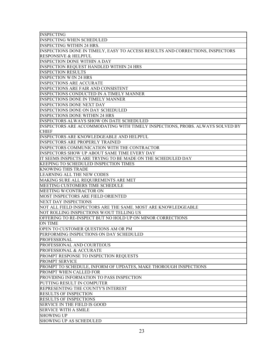| <b>INSPECTING</b>                                                              |
|--------------------------------------------------------------------------------|
| <b>INSPECTING WHEN SCHEDULED</b>                                               |
| <b>INSPECTING WITHIN 24 HRS.</b>                                               |
| INSPECTIONS DONE IN TIMELY, EASY TO ACCESS RESULTS AND CORRECTIONS, INSPECTORS |
| <b>RESPONSIVE &amp; HELPFUL</b>                                                |
| <b>INSPECTION DONE WITHIN A DAY</b>                                            |
| <b>INSPECTION REQUEST HANDLED WITHIN 24 HRS</b>                                |
| <b>INSPECTION RESULTS</b>                                                      |
| <b>INSPECTION W/IN 24 HRS</b>                                                  |
| <b>INSPECTIONS ARE ACCURATE</b>                                                |
| <b>INSPECTIONS ARE FAIR AND CONSISTENT</b>                                     |
| INSPECTIONS CONDUCTED IN A TIMELY MANNER                                       |
| <b>INSPECTIONS DONE IN TIMELY MANNER</b>                                       |
| <b>INSPECTIONS DONE NEXT DAY</b>                                               |
| <b>INSPECTIONS DONE ON DAY SCHEDULED</b>                                       |
| <b>INSPECTIONS DONE WITHIN 24 HRS</b>                                          |
| <b>INSPECTORS ALWAYS SHOW ON DATE SCHEDULED</b>                                |
| INSPECTORS ARE ACCOMMODATING WITH TIMELY INSPECTIONS, PROBS. ALWAYS SOLVED BY  |
| <b>CHIEF</b>                                                                   |
| <b>INSPECTORS ARE KNOWLEDGEABLE AND HELPFUL</b>                                |
| <b>INSPECTORS ARE PROPERLY TRAINED</b>                                         |
| <b>INSPECTORS COMMUNICATION WITH THE CONTRACTOR</b>                            |
| INSPECTORS SHOW UP ABOUT SAME TIME EVERY DAY                                   |
| IT SEEMS INSPECTS ARE TRYING TO BE MADE ON THE SCHEDULED DAY                   |
| KEEPING TO SCHEDULED INSPECTION TIMES                                          |
| <b>KNOWING THIS TRADE</b>                                                      |
| LEARNING ALL THE NEW CODES                                                     |
| MAKING SURE ALL REQUIREMENTS ARE MET                                           |
| MEETING CUSTOMERS TIME SCHEDULE                                                |
| MEETING W/CONTRACTOR ON                                                        |
| MOST INSPECTORS ARE FIELD ORIENTED                                             |
| <b>NEXT DAY INSPECTIONS</b>                                                    |
| NOT ALL FIELD INSPECTORS ARE THE SAME. MOST ARE KNOWLEDGEABLE                  |
| NOT ROLLING INSPECTIONS W/OUT TELLING US                                       |
| OFFERING TO RE-INSPECT BUT NO HOLD UP ON MINOR CORRECTIONS                     |
| <b>ON TIME</b>                                                                 |
| OPEN TO CUSTOMER QUESTIONS AM OR PM                                            |
| PERFORMING INSPECTIONS ON DAY SCHEDULED                                        |
| PROFESSIONAL                                                                   |
| PROFESSIONAL AND COURTEOUS                                                     |
| PROFESSIONAL & ACCURATE                                                        |
| PROMPT RESPONSE TO INSPECTION REQUESTS                                         |
| PROMPT SERVICE                                                                 |
| PROMPT TO SCHEDULE, INFORM OF UPDATES, MAKE THOROUGH INSPECTIONS               |
| PROMPT WHEN CALLED FOR                                                         |
| PROVIDING INFORMATION TO PASS INSPECTION                                       |
| PUTTING RESULT IN COMPUTER                                                     |
| REPRESENTING THE COUNTY'S INTEREST                                             |
| <b>RESULTS OF INSPECTION</b>                                                   |
| <b>RESULTS OF INSPECTIONS</b>                                                  |
| <b>SERVICE IN THE FIELD IS GOOD</b>                                            |
| <b>SERVICE WITH A SMILE</b>                                                    |
| <b>SHOWING UP</b>                                                              |
| <b>SHOWING UP AS SCHEDULED</b>                                                 |
|                                                                                |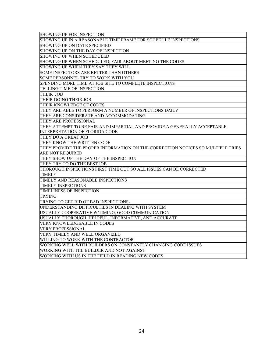SHOWING UP FOR INSPECTION SHOWING UP IN A REASONABLE TIME FRAME FOR SCHEDULE INSPECTIONS SHOWING UP ON DATE SPECIFIED SHOWING UP ON THE DAY OF INSPECTION SHOWING UP WHEN SCHEDULED SHOWING UP WHEN SCHEDULED, FAIR ABOUT MEETING THE CODES SHOWING UP WHEN THEY SAY THEY WILL SOME INSPECTORS ARE BETTER THAN OTHERS SOME PERSONNEL TRY TO WORK WITH YOU SPENDING MORE TIME AT JOB SITE TO COMPLETE INSPECTIONS TELLING TIME OF INSPECTION THEIR JOB THEIR DOING THEIR JOB THEIR KNOWLEDGE OF CODES THEY ARE ABLE TO PERFORM A NUMBER OF INSPECTIONS DAILY THEY ARE CONSIDERATE AND ACCOMMODATING THEY ARE PROFESSIONAL THEY ATTEMPT TO BE FAIR AND IMPARTIAL AND PROVIDE A GENERALLY ACCEPTABLE INTERPRETATION OF FLORIDA CODE THEY DO A GREAT JOB THEY KNOW THE WRITTEN CODE THEY PROVIDE THE PROPER INFORMATION ON THE CORRECTION NOTICES SO MULTIPLE TRIPS ARE NOT REQUIRED THEY SHOW UP THE DAY OF THE INSPECTION THEY TRY TO DO THE BEST JOB THOROUGH INSPECTIONS FIRST TIME OUT SO ALL ISSUES CAN BE CORRECTED TIMELY TIMELY AND REASONABLE INSPECTIONS TIMELY INSPECTIONS TIMELINESS OF INSPECTION TRYING TRYING TO GET RID OF BAD INSPECTIONS-UNDERSTANDING DIFFICULTIES IN DEALING WITH SYSTEM USUALLY COOPERATIVE W/TIMING; GOOD COMMUNICATION USUALLY THOROUGH, HELPFUL, INFORMATIVE, AND ACCURATE VERY KNOWLEDGEABLE IN CODES VERY PROFESSIONAL VERY TIMELY AND WELL ORGANIZED WILLING TO WORK WITH THE CONTRACTOR WORKING WELL WITH BUILDERS ON CONSTANTLY CHANGING CODE ISSUES WORKING WITH THE BUILDER AND NOT AGAINST WORKING WITH US IN THE FIELD IN READING NEW CODES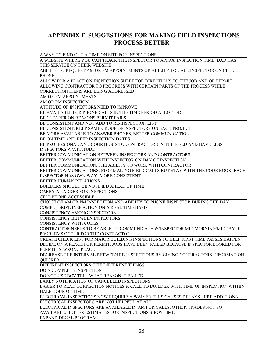### **APPENDIX F. SUGGESTIONS FOR MAKING FIELD INSPECTIONS PROCESS BETTER**

| A WAY TO FIND OUT A TIME ON SITE FOR INSPECTIONS                                                                                  |
|-----------------------------------------------------------------------------------------------------------------------------------|
| A WEBSITE WHERE YOU CAN TRACK THE INSPECTOR TO APPRX. INSPECTION TIME, DAD HAS                                                    |
| THIS SERVICE ON THEIR WEBSITE                                                                                                     |
| ABILITY TO REQUEST AM OR PM APPOINTMENTS OR ABILITY TO CALL INSPECTOR ON CELL                                                     |
| <b>PHONE</b>                                                                                                                      |
| ALLOW FOR A PLACE ON INSPECTION SHEET FOR DIRECTIONS TO THE JOB AND OR PERMIT                                                     |
| ALLOWING CONTRACTOR TO PROGRESS WITH CERTAIN PARTS OF THE PROCESS WHILE                                                           |
| CORRECTION ITEMS ARE BEING ADDRESSED                                                                                              |
| AM OR PM APPOINTMENTS                                                                                                             |
| AM OR PM INSPECTION                                                                                                               |
| ATTITUDE OF INSPECTORS NEED TO IMPROVE                                                                                            |
| BE AVAILABLE FOR PHONE CALLS IN THE TIME PERIOD ALLOTTED                                                                          |
| BE CLEARER ON REASONS PERMIT FAILS                                                                                                |
| BE CONSISTENT AND NOT ADD TO RE-INSPECTION LIST                                                                                   |
| BE CONSISTENT, KEEP SAME GROUP OF INSPECTORS ON EACH PROJECT                                                                      |
| BE MORE AVAILABLE TO ANSWER PHONES, BETTER COMMUNICATION                                                                          |
| BE ON TIME AND KEEP INSPECTION DATES                                                                                              |
| BE PROFESSIONAL AND COURTEOUS TO CONTRACTORS IN THE FIELD AND HAVE LESS                                                           |
| <b>INSPECTORS W/ATTITUDE</b>                                                                                                      |
| BETTER COMMUNICATION BETWEEN INSPECTORS AND CONTRACTORS                                                                           |
| BETTER COMMUNICATION WITH INSPECTOR ON DAY OF INSPECTION                                                                          |
| BETTER COMMUNICATION. THE ABILITY TO WORK WITH CONTRACTOR                                                                         |
| BETTER COMMUNICATIONS, STOP MAKING FIELD CALLS BUT STAY WITH THE CODE BOOK, EACH                                                  |
| INSPECTOR HAS OWN WAY-MORE CONSISTENT                                                                                             |
| BETTER HUMAN RELATIONS                                                                                                            |
| BUILDERS SHOULD BE NOTIFIED AHEAD OF TIME                                                                                         |
| CARRY A LADDER FOR INSPECTIONS                                                                                                    |
| CELL PHONE ACCESSIBLE                                                                                                             |
| CHOICE OF AM OR PM INSPECTION AND ABILITY TO PHONE INSPECTOR DURING THE DAY                                                       |
| COMPUTERIZE INSPECTION ON A REAL TIME BASIS                                                                                       |
| CONSISTENCY AMONG INSPECTORS                                                                                                      |
| CONSISTENCY BETWEEN INSPECTORS                                                                                                    |
| <b>CONSISTENCY WITH CODES</b>                                                                                                     |
| CONTRACTOR NEEDS TO BE ABLE TO COMMUNICATE W/INSPECTOR MID MORNING/MIDDAY IF                                                      |
| PROBLEMS OCCUR FOR THE CONTRACTOR                                                                                                 |
| CREATE CHECK LIST FOR MAJOR BUILDING INSPECTIONS TO HELP FIRST TIME PASSES HAPPEN                                                 |
| DECIDE ON A PLACE FOR PERMIT. JOBS HAVE BEEN FAILED BECAUSE INSPECTOR LOOKED FOR                                                  |
| PERMIT IN WRONG PLACE                                                                                                             |
| DECREASE THE INTERVAL BETWEEN RE-INSPECTIONS BY GIVING CONTRACTORS INFORMATION                                                    |
| QUICKER                                                                                                                           |
| DIFFERENT INSPECTORS CITE DIFFERENT THINGS                                                                                        |
| DO A COMPLETE INSPECTION                                                                                                          |
| DO NOT USE BCV TELL WHAT REASON IT FAILED                                                                                         |
| EARLY NOTIFICATION OF CANCELLED INSPECTIONS                                                                                       |
| EASIER TO READ CORRECTION NOTICES & CALL TO BUILDER WITH TIME OF INSPECTION WITHIN                                                |
| <b>HALF HOUR OF TIME</b>                                                                                                          |
| ELECTRICAL INSPECTIONS NOW REQUIRE A WAIVER. THIS CAUSES DELAYS. HIRE ADDITIONAL                                                  |
| ELECTRICAL INSPECTORS ARE NOT HELPFUL AT ALL                                                                                      |
| ELECTRICAL INSPECTORS ARE AVAILABLE IN AM FOR CALLS, OTHER TRADES NOT SO<br>AVAILABLE. BETTER ESTIMATES FOR INSPECTIONS SHOW TIME |
|                                                                                                                                   |
| EXPAND DECAL PROGRAM                                                                                                              |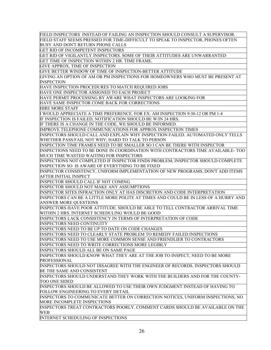FIELD INSPECTORS INSTEAD OF FAILING AN INSPECTION SHOULD CONSULT A SUPERVISOR. FIELD STAFF SEEMS PRESSED FOR TIME-DIFFICULT TO SPEAK TO INSPECTOR, PHONES OFTEN BUSY AND DON'T RETURN PHONE CALLS

GET RID OF INCOMPETENT INSPECTORS

GET RID OF VIGILANTLY INSPECTORS. SOME OF THEIR ATTITUDES ARE UNWARRANTED

GET TIME OF INSPECTION WITHIN 2 HR. TIME FRAME.

GIVE APPROX. TIME OF INSPECTION

GIVE BETTER WINDOW OF TIME OF INSPECTION-BETTER ATTITUDE

GIVING AN OPTION OF AM OR PM INSPECTIONS FOR HOMEOWNERS WHO MUST BE PRESENT AT **INSPECTION** 

HAVE INSPECTION PROCEDURES TO MATCH REQUIRED JOBS

HAVE ONE INSPECTOR ASSIGNED TO EACH PROJECT

HAVE PERMIT PROCESSING BY AWARE WHAT INSPECTORS ARE LOOKING FOR

HAVE SAME INSPECTOR COME BACK FOR CORRECTIONS

HIRE MORE STAFF

I WOULD APPRECIATE A TIME PREFERENCE. FOR EX: AM INSPECTION 9:30-12 OR PM 1-4

IF INSPECTION IS FAILED, NOTIFICATION SHOULD BE W/IN 24 HRS.

IF THERE IS A CHANGE IN THE CODE, WE SHOULD BE INFORMED.

IMPROVE TELEPHONE COMMUNICATIONS FOR APPROX INSPECTION TIMES

INSPECTORS SHOULD CALL AND EXPLAIN WHY INSPECTION FAILED. AUTOMATED ONLY TELLS WHETHER PASS/FAIL NOT WHY; HARD TO TALK TO PERSON

INSPECTION TIME FRAMES NEED TO BE SMALLER SO I CAN BE THERE WITH INSPECTOR

INSPECTIONS NEED TO BE DONE IN COORDINATION WITH CONTRACTORS TIME AVAILABLE- TOO MUCH TIME WASTED WAITING FOR INSPECTORS

INSPECTIONS NOT COMPLETED IF INSPECTOR FINDS PROBLEM; INSPECTOR SHOULD COMPLETE INSPECTION SO IS AWARE OF EVERYTHING TO BE FIXED

INSPECTOR CONSISTENCY, UNIFORM IMPLEMENTATION OF NEW PROGRAMS, DON'T ADD ITEMS AFTER INITIAL INSPECT

INSPECTOR SHOULD CALL IF NOT COMING

INSPECTOR SHOULD NOT MAKE ANY ASSUMPTIONS

INSPECTOR SITES INFRACTION ONLY AT HAS DISCRETION AND CODE INTERPRETATION

INSPECTORS CAN BE A LITTLE MORE POLITE AT TIMES AND COULD BE IN LESS OF A HURRY AND ANSWER MORE QUESTIONS

INSPECTORS HAVE POOR ATTITUDE. SHOULD BE ABLE TO TELL CONTRACTOR ARRIVAL TIME WITHIN 2 HRS. INTERNET SCHEDULING WOULD BE GOOD

INSPECTORS LACK CONSISTENCY IN TERMS OF INTERPRETATION OF CODE

INSPECTORS NEED CONTINUITY

INSPECTORS NEED TO BE UP TO DATE ON CODE CHANGES

INSPECTORS NEED TO CLEARLY STATE PROBLEM TO REMEDY FAILED INSPECTIONS

INSPECTORS NEED TO USE MORE COMMON SENSE AND FRIENDLIER TO CONTRACTORS

INSPECTORS NEED TO WRITE CORRECTIONS MORE LEGIBLY

INSPECTORS SHOULD ALL BE ON SAME PAGE

INSPECTORS SHOULD KNOW WHAT THEY ARE AT THE JOB TO INSPECT, NEED TO BE MORE PROFESSIONAL

INSPECTORS SHOULD NOT DISAGREE WITH THE ENGINEER OF RECORDS. INSPECTORS SHOULD BE THE SAME AND CONSISTENT

INSPECTORS SHOULD UNDERSTAND THEY WORK WITH THE BUILDERS AND FOR THE COUNTY-TOO ONE SIDED

INSPECTORS SHOULD BE ALLOWED TO USE THEIR OWN JUDGMENT INSTEAD OF HAVING TO FOLLOW ENGINEERING TO EVERY DETAIL

INSPECTORS TO COMMUNICATE BETTER ON CORRECTION NOTICES, UNIFORM INSPECTIONS, NO MORE INCOMPLETE INSPECTIONS

INSPECTORS TREAT CONTRACTORS POORLY. COMMENT CARDS SHOULD BE AVAILABLE ON THE WEB

INTERNET SCHEDULING OF INSPECTIONS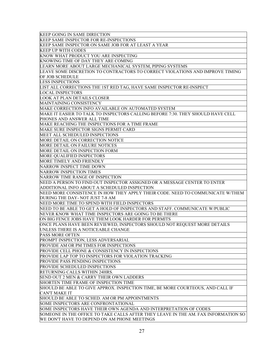| KEEP GOING IN SAME DIRECTION                                                       |
|------------------------------------------------------------------------------------|
| KEEP SAME INSPECTOR FOR RE-INSPECTIONS                                             |
| KEEP SAME INSPECTOR ON SAME JOB FOR AT LEAST A YEAR                                |
| <b>KEEP UP WITH CODES</b>                                                          |
| KNOW WHAT PRODUCT YOU ARE INSPECTING                                               |
| KNOWING TIME OF DAY THEY ARE COMING                                                |
| LEARN MORE ABOUT LARGE MECHANICAL SYSTEM, PIPING SYSTEMS                           |
| LEAVE SOME DISCRETION TO CONTRACTORS TO CORRECT VIOLATIONS AND IMPROVE TIMING      |
| OF JOB SCHEDULE                                                                    |
|                                                                                    |
| <b>LESS INSPECTIONS</b>                                                            |
| LIST ALL CORRECTIONS THE 1ST RED TAG, HAVE SAME INSPECTOR RE-INSPECT               |
| <b>LOCAL INSPECTORS</b>                                                            |
| <b>LOOK AT PLAN DETAILS CLOSER</b>                                                 |
| MAINTAINING CONSISTENCY                                                            |
| MAKE CORRECTION INFO AVAILABLE ON AUTOMATED SYSTEM                                 |
| MAKE IT EASIER TO TALK TO INSPECTORS CALLING BEFORE 7:30. THEY SHOULD HAVE CELL    |
| PHONES AND ANSWER ALL TIME                                                         |
| MAKE REACHING THE INSPECTIONS FOR A TIME FRAME                                     |
| MAKE SURE INSPECTOR SIGNS PERMIT CARD                                              |
| MEET ALL SCHEDULED INSPECTIONS                                                     |
| MORE DETAIL ON CORRECTION NOTICE                                                   |
| MORE DETAIL ON FAILURE NOTICES                                                     |
| MORE DETAIL ON INSPECTION FORM                                                     |
|                                                                                    |
| MORE QUALIFIED INSPECTORS                                                          |
| MORE TIMELY AND FRIENDLY                                                           |
| NARROW INSPECT TIME DOWN                                                           |
| <b>NARROW INSPECTION TIMES</b>                                                     |
| NARROW TIME RANGE OF INSPECTION                                                    |
| NEED A PERSON TO FIND OUT INSPECTOR ASSIGNED OR A MESSAGE CENTER TO ENTER          |
| ADDITIONAL INFO ABOUT A SCHEDULED INSPECTION                                       |
| NEED MORE CONSISTENCE IN HOW THEY APPLY THEIR CODE. NEED TO COMMUNICATE W/THEM     |
| DURING THE DAY-NOT JUST 7-8 AM                                                     |
| NEED MORE TIME TO SPEND WITH FIELD INSPECTORS                                      |
| NEED TO BE ABLE TO GET A HOLD OF INSPECTORS AND STAFF. COMMUNICATE W/PUBLIC        |
| NEVER KNOW WHAT TIME INSPECTORS ARE GOING TO BE THERE                              |
| ON BIG FENCE JOBS HAVE THEM LOOK HARDER FOR PERMITS                                |
| ONCE PLANS HAVE BEEN REVIEWED, INSPECTORS SHOULD NOT REQUEST MORE DETAILS          |
| UNLESS THERE IS A NOTICEABLE CHANGE                                                |
| PASS MORE OFTEN                                                                    |
|                                                                                    |
| PROMPT INSPECTION, LESS ADVERSARIAL                                                |
| PROVIDE AM OR PM TIMES FOR INSPECTIONS                                             |
| PROVIDE CELL PHONE & CONSISTENCY IN INSPECTIONS                                    |
| PROVIDE LAP TOP TO INSPECTORS FOR VIOLATION TRACKING                               |
| PROVIDE PASS PENDING INSPECTIONS                                                   |
| PROVIDE SCHEDULED INSPECTIONS                                                      |
| RETURNING CALLS WITHIN 24HRS.                                                      |
| SEND OUT 2 MEN & CARRY THEIR OWN LADDERS                                           |
| SHORTEN TIME FRAME OF INSPECTION TIME                                              |
| SHOULD BE ABLE TO GIVE APPROX. INSPECTION TIME, BE MORE COURTEOUS, AND CALL IF     |
| <b>CAN'T MAKE IT</b>                                                               |
| SHOULD BE ABLE TO SCHED. AM OR PM APPOINTMENTS                                     |
| SOME INSPECTORS ARE CONFRONTATIONAL                                                |
| SOME INSPECTORS HAVE THEIR OWN AGENDA AND INTERPRETATION OF CODES                  |
| SOMEONE IN THE OFFICE TO TAKE CALLS AFTER THEY LEAVE IN THE AM. FAX INFORMATION SO |
| WE DON'T HAVE TO DEPEND ON AM PHONE MEETINGS                                       |
|                                                                                    |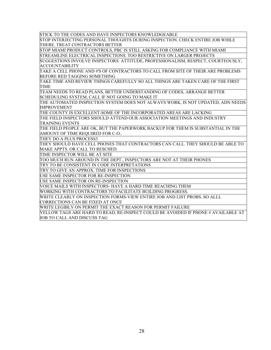STICK TO THE CODES AND HAVE INSPECTORS KNOWLEDGEABLE

STOP INTERJECTING PERSONAL THOUGHTS DURING INSPECTION. CHECK ENTIRE JOB WHILE THERE. TREAT CONTRACTORS BETTER

STOP MIAMI PRODUCT CONTROLS, PBC IS STILL ASKING FOR COMPLIANCE WITH MIAMI STREAMLINE ELECTRICAL INSPECTIONS. TOO RESTRICTIVE ON LARGER PROJECTS

SUGGESTIONS INVOLVE INSPECTORS: ATTITUDE, PROFESSIONALISM, RESPECT, COURTEOUSLY, ACCOUNTABILITY

TAKE A CELL PHONE AND #'S OF CONTRACTORS TO CALL FROM SITE OF THEIR ARE PROBLEMS BEFORE RED TAGGING SOMETHING

TAKE TIME AND REVIEW THINGS CAREFULLY SO ALL THINGS ARE TAKEN CARE OF THE FIRST TIME

TEAM NEEDS TO READ PLANS, BETTER UNDERSTANDING OF CODES, ARRANGE BETTER SCHEDULING SYSTEM, CALL IF NOT GOING TO MAKE IT

THE AUTOMATED INSPECTION SYSTEM DOES NOT ALWAYS WORK, IS NOT UPDATED, ADN NEEDS IMPROVEMENT

THE COUNTY IS EXCELLENT-SOME OF THE INCORPORATED AREAS ARE LACKING

THE FIELD INSPECTORS SHOULD ATTEND OUR ASSOCIATION MEETINGS AND INDUSTRY TRAINING EVENTS

THE FIELD PEOPLE ARE OK, BUT THE PAPERWORK BACKUP FOR THEM IS SUBSTANTIAL IN THE AMOUNT OF TIME REQUIRED FOR C-O..

THEY DO A PLUS PROCESS3

THEY SHOULD HAVE CELL PHONES THAT CONTRACTORS CAN CALL. THEY SHOULD BE ABLE TO MAKE APPTS. OR CALL TO RESCHED.

TIME INSPECTOR WILL BE AT SITE

TOO MUCH RUN AROUND IN THE DEPT., INSPECTORS ARE NOT AT THEIR PHONES

TRY TO BE CONSISTENT IN CODE INTERPRETATIONS

TRY TO GIVE AN APPROX. TIME FOR INSPECTIONS

USE SAME INSPECTOR FOR RE-INSPECTION

USE SAME INSPECTOR ON RE-INSPECTION

VOICE MAILS WITH INSPECTORS- HAVE A HARD TIME REACHING THEM

WORKING WITH CONTRACTORS TO FACILITATE BUILDING PROGRESS.

WRITE CLEARLY ON INSPECTION FORMS-VIEW ENTIRE JOB AND LIST PROBS. SO ALLL

CORRECTIONS CAN BE FIXED AT ONCE

WRITE LEGIBLY ON PERMIT THE EXACT REASON FOR PERMIT FAILURE

YELLOW TAGS ARE HARD TO READ, RE-INSPECT COULD BE AVOIDED IF PHONE # AVAILABLE AT JOB TO CALL AND DISCUSS TAG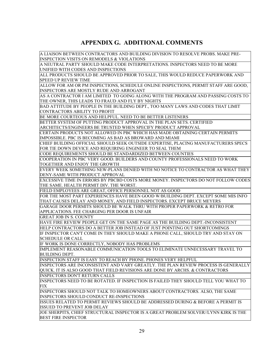### **APPENDIX G. ADDITIONAL COMMENTS**

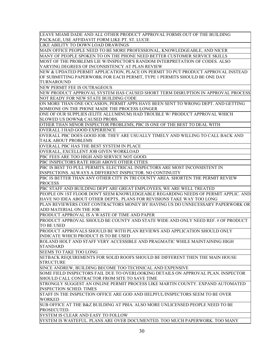LEAVE MIAMI DADE AND ALL OTHER PRODUCT APPROVAL FORMS OUT OF THE BUILDING PACKAGE, USE AFFIDAVIT FORM LIKE PT. ST. LUCIE

LIKE ABILITY TO DOWN LOAD DRAWINGS

MAIN OFFICE PEOPLE NEED TO BE MORE PROFESSIONAL, KNOWLEDGEABLE, AND NICER MANY OF PEOPLE SPOKEN TO ON THE PHONE NEED BETTER CUSTOMER SERVICE SKILLS

MOST OF THE PROBLEMS LIE W/INSPECTOR'S RANDOM INTERPRETATION OF CODES. ALSO VARYING DEGREES OF INCONSISTENCY AT PLAN REVIEW

NEW & UPDATED PERMIT APPLICATION, PLACE ON PERMIT TO PUT PRODUCT APPROVAL INSTEAD OF SUBMITTING PAPERWORK FOR EACH PERMIT, TYPE 1 PERMITS SHOULD BE ONE DAY TURNAROUND

NEW PERMIT FEE IS OUTRAGEOUS

NEW PRODUCT APPROVAL SYSTEM HAS CAUSED SHORT TERM DISRUPTION IN APPROVAL PROCESS NOT READY FOR NEW STATE BUILDING CODE

ON MORE THAN ONE OCCASION, PERMIT APPS HAVE BEEN SENT TO WRONG DEPT. AND GETTING SOMEONE ON THE PHONE MADE THE PROCESS LONGER

ONE OF OUR SUPPLIES (ELITE ALLUMINUM) HAD TROUBLE W/ PRODUCT APPROVAL WHICH SLOWED US DOWN& CAUSED PROBS.

OTHER THAN MINOR INSPECTOR PROBLEMS, PBC IS ONE OF THE BEST TO DEAL WITH

OVERALL I HAD GOOD EXPERIENCE

OVERALL PBC DOES GOOD JOB. THEY ARE USUALLY TIMELY AND WILLING TO CALL BACK AND TALK ABOUT PROBLEMS

OVERALL PBC HAS THE BEST SYSTEM IN PLACE

OVERALL, EXCELLENT JOB GIVEN WORKLOAD

PBC FEES ARE TOO HIGH AND SERVICE NOT GOOD.

PBC INSPECTORS RATE HIGH ABOVE OTHER CITIES

PBC IS BEST TO PULL PERMITS. ELECTRICAL INSPECTORS ARE MOST INCONSISTENT IN INSPECTIONS. ALWAYS A DIFFERENT INSPECTOR. NO CONTINUITY

PBC IS BETTER THAN ANY OTHER CITY IN TRI COUNTY AREA. SHORTEN THE PERMIT REVIEW PROCESS

PBC STAFF AND BUILDING DEPT ARE GREAT EMPLOYEES, WE ARE WELL TREATED

PEOPLE ON 1ST FLOOR DON'T SEEM KNOWLEDGEABLE REGARDING NEEDS OF PERMIT APPLIC. AND HAVE NO IDEA ABOUT OTHER DEPTS.. PLANS FOR REVISIONS TAKE WAY TOO LONG

PLAN REVIEWERS COST CONTRACTORS MONEY BY HAVING US DO UNNECESSARY PAPERWORK OR ADD MATERIAL ON THE JOB

PRODUCT APPROVAL IS A WASTE OF TIME AND PAPER

PRODUCT APPROVAL SHOULD BE COUNTY AND STATE WIDE AND ONLY NEED REF. # OF PRODUCT TO BE USED

PRODUCT APPROVALS SHOULD BE WITH PLAN REVIEWS AND APPLICATION SHOULD ONLY INDICATE WHICH PRODUCT IS TO BE USED

ROLAND HOLT AND STAFF VERY ACCESSIBLE AND PRAGMATIC WHILE MAINTAINING HIGH STANDARD

SEEMS TO TAKE TOO LONG

SETBACK REQUIREMENTS FOR SOLID ROOFS SHOULD BE DIFFERENT THEN THE MAIN HOUSE STRUCTURE

SINCE ANDREW, BUILDING BECOME TOO TECHNICAL AND EXPENSIVE

SOME FIELD INSPECTORS FAIL DUE TO OVERLOOKING DETAILS ON APPROVAL PLAN. INSPECTOR SHOULD CALL CONTRACTOR FROM SITE TO SAVE TIME

STRONGLY SUGGEST AN ONLINE PERMIT PROCESS LIKE MARTIN COUNTY. EXPAND AUTOMATED INSPECTION SCHED. TIMES

STAFF IN THE INSPECTION OFFICE ARE GOD AND HELPFUL/INSPECTORS SEEM TO BE OVER WORKED

SUB OFFICE AT THE B&Z BUILDING AT PBIA. ALSO MORE UNLICENSED PEOPLE NEED TO BE PROSECUTED.

SYSTEM IS CLEAR AND EASY TO FOLLOW

SYSTEM IS WASTEFUL. PLANS ARE OVER DOCUMENTED. TOO MUCH PAPERWORK. TOO MANY